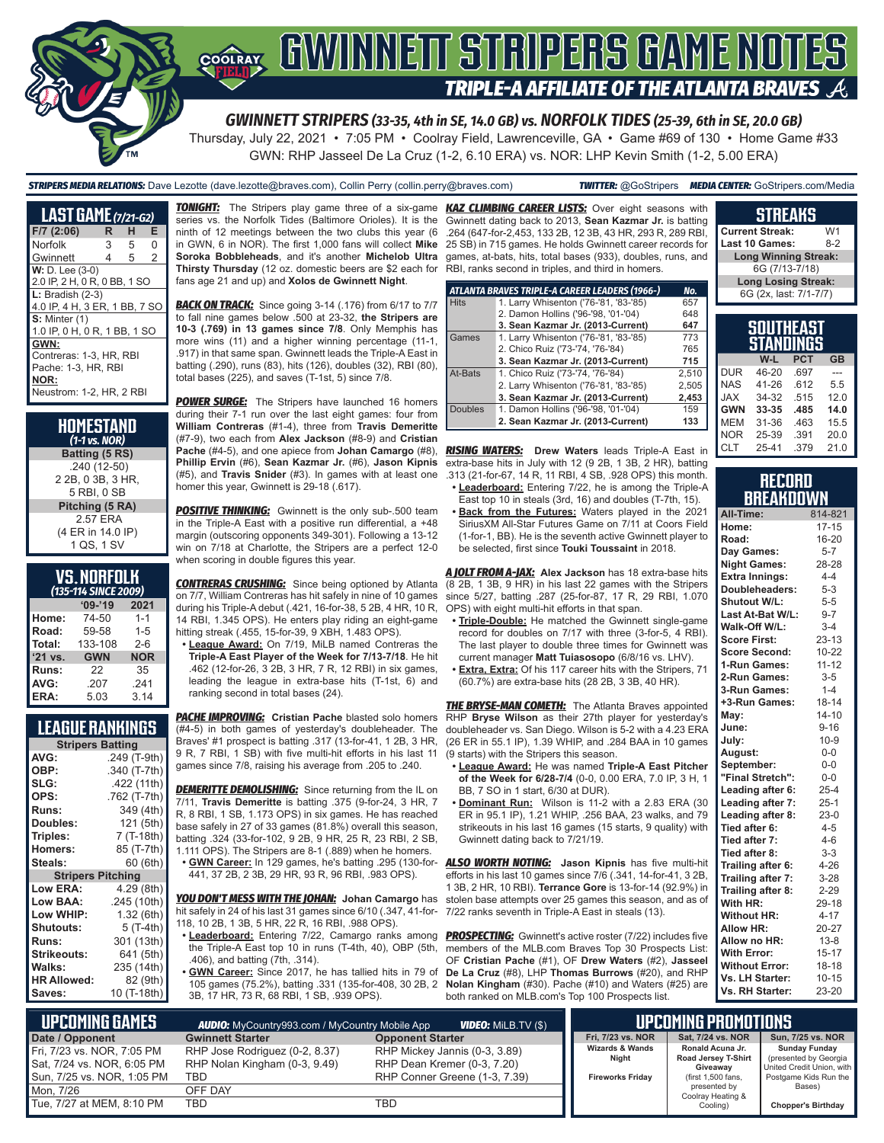

*GWINNETT STRIPERS (33-35, 4th in SE, 14.0 GB) vs. NORFOLK TIDES (25-39, 6th in SE, 20.0 GB)*

Thursday, July 22, 2021 • 7:05 PM • Coolray Field, Lawrenceville, GA • Game #69 of 130 • Home Game #33 GWN: RHP Jasseel De La Cruz (1-2, 6.10 ERA) vs. NOR: LHP Kevin Smith (1-2, 5.00 ERA)

*STRIPERS MEDIA RELATIONS:* Dave Lezotte (dave.lezotte@braves.com), Collin Perry (collin.perry@braves.com) *TWITTER:* @GoStripers *MEDIA CENTER:* GoStripers.com/Media

| <b>LAST GAME</b> (7/21-G2)    |   |   |   |
|-------------------------------|---|---|---|
| $F/7$ (2:06)                  | R | н | Е |
| Norfolk                       | 3 | 5 | O |
| Gwinnett                      | 4 | 5 | 2 |
| $W: D. Lee (3-0)$             |   |   |   |
| 2.0 IP, 2 H, 0 R, 0 BB, 1 SO  |   |   |   |
| $L:$ Bradish $(2-3)$          |   |   |   |
| 4.0 IP, 4 H, 3 ER, 1 BB, 7 SO |   |   |   |
| $S:$ Minter $(1)$             |   |   |   |
| 1.0 IP, 0 H, 0 R, 1 BB, 1 SO  |   |   |   |
| GWN:                          |   |   |   |
| Contreras: 1-3. HR. RBI       |   |   |   |
| Pache: 1-3. HR. RBI           |   |   |   |
| NOR:                          |   |   |   |
| Neustrom: 1-2. HR. 2 RBI      |   |   |   |

| HOMESTAND<br>$(1-1 \text{ vs. } \text{NOR})$ |
|----------------------------------------------|
| Batting (5 RS)                               |
| .240 (12-50)                                 |
| 2 2B, 0 3B, 3 HR,                            |
| 5 RBI, 0 SB                                  |
| Pitching (5 RA)                              |
| 2.57 ERA                                     |
| (4 ER in 14.0 IP)                            |
| 1 QS, 1 SV                                   |

| <u>VS.Norfolk</u> |  |  |  |
|-------------------|--|--|--|
| $I = -1$          |  |  |  |

| (135-114 SINCE 2009) |            |            |  |  |
|----------------------|------------|------------|--|--|
|                      | $09 - 19$  | 2021       |  |  |
| Home:                | 74-50      | $1 - 1$    |  |  |
| Road:                | 59-58      | $1 - 5$    |  |  |
| Total:               | 133-108    | $2 - 6$    |  |  |
| '21 vs.              | <b>GWN</b> | <b>NOR</b> |  |  |
| Runs:                | 22         | 35         |  |  |
| AVG:                 | .207       | .241       |  |  |
| ERA:                 | 5.03       | 3.14       |  |  |

### **LEAGUE RANKINGS**

| <b>Stripers Batting</b>  |              |  |  |  |
|--------------------------|--------------|--|--|--|
| AVG:                     | .249 (T-9th) |  |  |  |
| OBP:                     | .340 (T-7th) |  |  |  |
| SLG:                     | .422 (11th)  |  |  |  |
| OPS:                     | .762 (T-7th) |  |  |  |
| Runs:                    | 349 (4th)    |  |  |  |
| Doubles:                 | 121 (5th)    |  |  |  |
| Triples:                 | 7 (T-18th)   |  |  |  |
| <b>Homers:</b>           | 85 (T-7th)   |  |  |  |
| Steals:                  | 60 (6th)     |  |  |  |
| <b>Stripers Pitching</b> |              |  |  |  |
| Low ERA:                 | 4.29 (8th)   |  |  |  |
| <b>Low BAA:</b>          | .245 (10th)  |  |  |  |
| Low WHIP:                | 1.32 (6th)   |  |  |  |
| Shutouts:                | 5 (T-4th)    |  |  |  |
| Runs:                    | 301 (13th)   |  |  |  |
| Strikeouts:              | 641 (5th)    |  |  |  |
| Walks:                   | 235 (14th)   |  |  |  |
| <b>HR Allowed:</b>       | 82 (9th)     |  |  |  |
| Saves:                   | 10 (T-18th)  |  |  |  |

series vs. the Norfolk Tides (Baltimore Orioles). It is the ninth of 12 meetings between the two clubs this year (6 in GWN, 6 in NOR). The first 1,000 fans will collect **Mike Soroka Bobbleheads**, and it's another **Michelob Ultra Thirsty Thursday** (12 oz. domestic beers are \$2 each for RBI, ranks second in triples, and third in homers. fans age 21 and up) and **Xolos de Gwinnett Night**.

**BACK ON TRACK:** Since going 3-14 (.176) from 6/17 to 7/7 to fall nine games below .500 at 23-32, **the Stripers are 10-3 (.769) in 13 games since 7/8**. Only Memphis has more wins (11) and a higher winning percentage (11-1, .917) in that same span. Gwinnett leads the Triple-A East in batting (.290), runs (83), hits (126), doubles (32), RBI (80), total bases (225), and saves (T-1st, 5) since 7/8.

**POWER SURGE:** The Stripers have launched 16 homers during their 7-1 run over the last eight games: four from **William Contreras** (#1-4), three from **Travis Demeritte** (#7-9), two each from **Alex Jackson** (#8-9) and **Cristian Pache** (#4-5), and one apiece from **Johan Camargo** (#8), **Phillip Ervin** (#6), **Sean Kazmar Jr.** (#6), **Jason Kipnis** (#5), and **Travis Snider** (#3). In games with at least one homer this year, Gwinnett is 29-18 (.617).

**POSITIVE THINKING:** Gwinnett is the only sub-.500 team in the Triple-A East with a positive run differential, a +48 margin (outscoring opponents 349-301). Following a 13-12 win on 7/18 at Charlotte, the Stripers are a perfect 12-0 when scoring in double figures this year.

**CONTRERAS CRUSHING:** Since being optioned by Atlanta on 7/7, William Contreras has hit safely in nine of 10 games during his Triple-A debut (.421, 16-for-38, 5 2B, 4 HR, 10 R, 14 RBI, 1.345 OPS). He enters play riding an eight-game hitting streak (.455, 15-for-39, 9 XBH, 1.483 OPS).

**• League Award:** On 7/19, MiLB named Contreras the **Triple-A East Player of the Week for 7/13-7/18**. He hit .462 (12-for-26, 3 2B, 3 HR, 7 R, 12 RBI) in six games,

leading the league in extra-base hits (T-1st, 6) and ranking second in total bases (24).

**PACHE IMPROVING:** Cristian Pache blasted solo homers (#4-5) in both games of yesterday's doubleheader. The Braves' #1 prospect is batting .317 (13-for-41, 1 2B, 3 HR, 9 R, 7 RBI, 1 SB) with five multi-hit efforts in his last 11 games since 7/8, raising his average from .205 to .240.

**DEMERITTE DEMOLISHING:** Since returning from the IL on 7/11, **Travis Demeritte** is batting .375 (9-for-24, 3 HR, 7 R, 8 RBI, 1 SB, 1.173 OPS) in six games. He has reached base safely in 27 of 33 games (81.8%) overall this season, batting .324 (33-for-102, 9 2B, 9 HR, 25 R, 23 RBI, 2 SB, 1.111 OPS). The Stripers are 8-1 (.889) when he homers.

**• GWN Career:** In 129 games, he's batting .295 (130-for-441, 37 2B, 2 3B, 29 HR, 93 R, 96 RBI, .983 OPS).

*YOU DON'T MESS WITH THE JOHAN:* **Johan Camargo** has hit safely in 24 of his last 31 games since 6/10 (.347, 41-for-118, 10 2B, 1 3B, 5 HR, 22 R, 16 RBI, .988 OPS).

- **• Leaderboard:** Entering 7/22, Camargo ranks among the Triple-A East top 10 in runs (T-4th, 40), OBP (5th, .406), and batting (7th, .314).
- **• GWN Career:** Since 2017, he has tallied hits in 79 of 105 games (75.2%), batting .331 (135-for-408, 30 2B, 2 3B, 17 HR, 73 R, 68 RBI, 1 SB, .939 OPS).

*TONIGHT:* The Stripers play game three of a six-game *KAZ CLIMBING CAREER LISTS:* Over eight seasons with Gwinnett dating back to 2013, **Sean Kazmar Jr.** is batting .264 (647-for-2,453, 133 2B, 12 3B, 43 HR, 293 R, 289 RBI, 25 SB) in 715 games. He holds Gwinnett career records for games, at-bats, hits, total bases (933), doubles, runs, and

|                | ATLANTA BRAVES TRIPLE-A CAREER LEADERS (1966-) | No.   |
|----------------|------------------------------------------------|-------|
| <b>Hits</b>    | 1. Larry Whisenton ('76-'81, '83-'85)          | 657   |
|                | 2. Damon Hollins ('96-'98, '01-'04)            | 648   |
|                | 3. Sean Kazmar Jr. (2013-Current)              | 647   |
| Games          | 1. Larry Whisenton ('76-'81, '83-'85)          | 773   |
|                | 2. Chico Ruiz ('73-'74, '76-'84)               | 765   |
|                | 3. Sean Kazmar Jr. (2013-Current)              | 715   |
| At-Bats        | 1. Chico Ruiz ('73-'74, '76-'84)               | 2.510 |
|                | 2. Larry Whisenton ('76-'81, '83-'85)          | 2,505 |
|                | 3. Sean Kazmar Jr. (2013-Current)              | 2,453 |
| <b>Doubles</b> | 1. Damon Hollins ('96-'98, '01-'04)            | 159   |
|                | 2. Sean Kazmar Jr. (2013-Current)              | 133   |

*RISING WATERS:* **Drew Waters** leads Triple-A East in extra-base hits in July with 12 (9 2B, 1 3B, 2 HR), batting .313 (21-for-67, 14 R, 11 RBI, 4 SB, .928 OPS) this month.

- **• Leaderboard:** Entering 7/22, he is among the Triple-A East top 10 in steals (3rd, 16) and doubles (T-7th, 15).
- **• Back from the Futures:** Waters played in the 2021 SiriusXM All-Star Futures Game on 7/11 at Coors Field (1-for-1, BB). He is the seventh active Gwinnett player to be selected, first since **Touki Toussaint** in 2018.

*A JOLT FROM A-JAX:* **Alex Jackson** has 18 extra-base hits (8 2B, 1 3B, 9 HR) in his last 22 games with the Stripers since 5/27, batting .287 (25-for-87, 17 R, 29 RBI, 1.070 OPS) with eight multi-hit efforts in that span.

- **• Triple-Double:** He matched the Gwinnett single-game record for doubles on 7/17 with three (3-for-5, 4 RBI). The last player to double three times for Gwinnett was current manager **Matt Tuiasosopo** (6/8/16 vs. LHV).
- **• Extra, Extra:** Of his 117 career hits with the Stripers, 71 (60.7%) are extra-base hits (28 2B, 3 3B, 40 HR).

**THE BRYSE-MAN COMETH:** The Atlanta Braves appointed RHP **Bryse Wilson** as their 27th player for yesterday's doubleheader vs. San Diego. Wilson is 5-2 with a 4.23 ERA (26 ER in 55.1 IP), 1.39 WHIP, and .284 BAA in 10 games (9 starts) with the Stripers this season.

- **• League Award:** He was named **Triple-A East Pitcher of the Week for 6/28-7/4** (0-0, 0.00 ERA, 7.0 IP, 3 H, 1 BB, 7 SO in 1 start, 6/30 at DUR).
- **• Dominant Run:** Wilson is 11-2 with a 2.83 ERA (30 ER in 95.1 IP), 1.21 WHIP, .256 BAA, 23 walks, and 79 strikeouts in his last 16 games (15 starts, 9 quality) with Gwinnett dating back to 7/21/19.

*ALSO WORTH NOTING:* **Jason Kipnis** has five multi-hit efforts in his last 10 games since 7/6 (.341, 14-for-41, 3 2B, 1 3B, 2 HR, 10 RBI). **Terrance Gore** is 13-for-14 (92.9%) in stolen base attempts over 25 games this season, and as of 7/22 ranks seventh in Triple-A East in steals (13).

**PROSPECTING:** Gwinnett's active roster (7/22) includes five members of the MLB.com Braves Top 30 Prospects List: OF **Cristian Pache** (#1), OF **Drew Waters** (#2), **Jasseel De La Cruz** (#8), LHP **Thomas Burrows** (#20), and RHP **Nolan Kingham** (#30). Pache (#10) and Waters (#25) are both ranked on MLB.com's Top 100 Prospects list.

| <b>Current Streak:</b>   |                             | W <sub>1</sub> |           |  |
|--------------------------|-----------------------------|----------------|-----------|--|
| Last 10 Games:           |                             | $8-2$          |           |  |
|                          | <b>Long Winning Streak:</b> |                |           |  |
|                          | 6G (7/13-7/18)              |                |           |  |
|                          | <b>Long Losing Streak:</b>  |                |           |  |
|                          | 6G (2x, last: 7/1-7/7)      |                |           |  |
|                          |                             |                |           |  |
|                          |                             |                |           |  |
| <b>SOUTHEAST</b>         |                             |                |           |  |
|                          |                             |                |           |  |
|                          | <b>STANDINGS</b>            |                |           |  |
|                          | W-L                         | <b>PCT</b>     | <b>GB</b> |  |
| <b>DUR</b>               | 46-20                       | .697           |           |  |
|                          | 41-26                       | .612           | 5.5       |  |
| <b>NAS</b><br><b>JAX</b> | 34-32                       | .515           | 12.0      |  |
| <b>GWN</b>               | 33-35                       | .485           | 14.0      |  |
| <b>MEM</b>               | 31-36                       | .463           | 15.5      |  |

**STREAKS**

| Record           |  |
|------------------|--|
| <b>BREAKDOWN</b> |  |

25-39 CLT 25-41 .379 21.0

| All-Time:             | 814-821   |
|-----------------------|-----------|
| Home:                 | $17 - 15$ |
| Road:                 | 16-20     |
| Day Games:            | $5 - 7$   |
| <b>Night Games:</b>   | 28-28     |
| Extra Innings:        | $4 - 4$   |
| Doubleheaders:        | $5 - 3$   |
| Shutout W/L:          | $5-5$     |
| Last At-Bat W/L:      | $9 - 7$   |
| Walk-Off W/L:         | $3-4$     |
| <b>Score First:</b>   | $23 - 13$ |
| Score Second:         | $10 - 22$ |
| 1-Run Games:          | $11 - 12$ |
| 2-Run Games:          | $3-5$     |
| 3-Run Games:          | $1 - 4$   |
| +3-Run Games:         | $18 - 14$ |
| May:                  | $14 - 10$ |
| June:                 | $9 - 16$  |
| July:                 | $10 - 9$  |
| August:               | $0-0$     |
| September:            | $0-0$     |
| "Final Stretch":      | $0-0$     |
| Leading after 6:      | $25 - 4$  |
| Leading after 7:      | $25-1$    |
| Leading after 8:      | $23-0$    |
| Tied after 6:         | $4 - 5$   |
| Tied after 7:         | $4 - 6$   |
| Tied after 8:         | $3 - 3$   |
| Trailing after 6:     | $4 - 26$  |
| Trailing after 7:     | $3 - 28$  |
| Trailing after 8:     | 2-29      |
| With HR:              | 29-18     |
| <b>Without HR:</b>    | $4 - 17$  |
| Allow HR:             | 20-27     |
| Allow no HR:          | $13 - 8$  |
| With Error:           | $15 - 17$ |
| <b>Without Error:</b> | $18 - 18$ |
| Vs. LH Starter:       | $10 - 15$ |
| Vs. RH Starter:       | 23-20     |

| L UPCOMING GAMES I                                                                     | <b>AUDIO:</b> MyCountry993.com / MyCountry Mobile App                         | <b>VIDEO:</b> Milb.TV (\$)                                                                    |                                                                | UPCOMING PROMOTIONS                                                       |                                                                                                     |
|----------------------------------------------------------------------------------------|-------------------------------------------------------------------------------|-----------------------------------------------------------------------------------------------|----------------------------------------------------------------|---------------------------------------------------------------------------|-----------------------------------------------------------------------------------------------------|
| Date / Opponent                                                                        | <b>Gwinnett Starter</b>                                                       | <b>Opponent Starter</b>                                                                       | Fri. 7/23 vs. NOR                                              | Sat. 7/24 vs. NOR                                                         | Sun, 7/25 vs. NOR                                                                                   |
| Fri, 7/23 vs. NOR, 7:05 PM<br>Sat, 7/24 vs. NOR, 6:05 PM<br>Sun, 7/25 vs. NOR, 1:05 PM | RHP Jose Rodriguez (0-2, 8.37)<br>RHP Nolan Kingham (0-3, 9.49)<br><b>TBD</b> | RHP Mickey Jannis (0-3, 3.89)<br>RHP Dean Kremer (0-3, 7.20)<br>RHP Conner Greene (1-3, 7.39) | <b>Wizards &amp; Wands</b><br>Night<br><b>Fireworks Friday</b> | Ronald Acuna Jr.<br>Road Jersey T-Shirt<br>Giveawav<br>(first 1,500 fans, | <b>Sunday Funday</b><br>(presented by Georgia<br>United Credit Union, with<br>Postgame Kids Run the |
| Mon. 7/26                                                                              | OFF DAY                                                                       |                                                                                               |                                                                | presented by                                                              | Bases)                                                                                              |
| Tue, 7/27 at MEM, 8:10 PM                                                              | TBD                                                                           | TBD                                                                                           |                                                                | Coolray Heating &<br>Cooling)                                             | <b>Chopper's Birthday</b>                                                                           |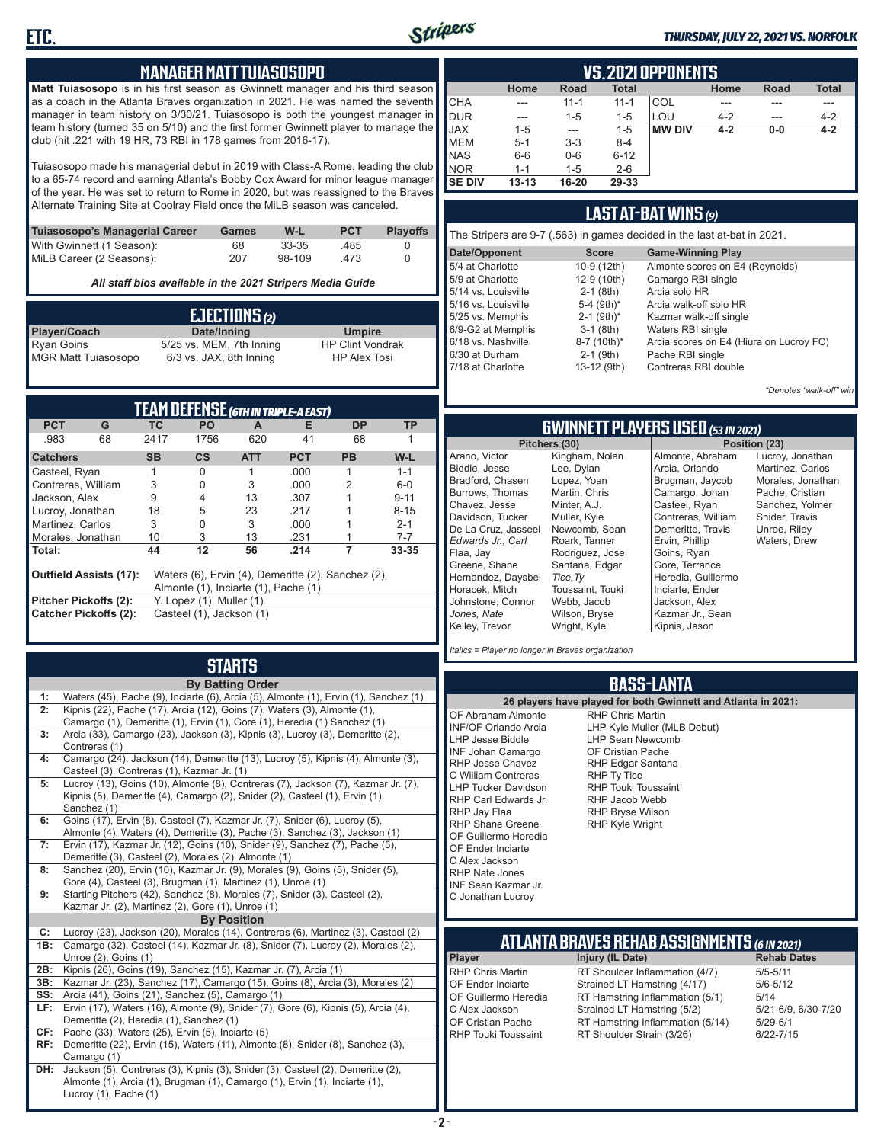

#### *THURSDAY, JULY 22, 2021 VS. NORFOLK*

### **MANAGER MATT TUIASOSOPO**

**Matt Tuiasosopo** is in his first season as Gwinnett manager and his third season as a coach in the Atlanta Braves organization in 2021. He was named the seventh manager in team history on 3/30/21. Tuiasosopo is both the youngest manager in team history (turned 35 on 5/10) and the first former Gwinnett player to manage the club (hit .221 with 19 HR, 73 RBI in 178 games from 2016-17).

Tuiasosopo made his managerial debut in 2019 with Class-A Rome, leading the club to a 65-74 record and earning Atlanta's Bobby Cox Award for minor league manager of the year. He was set to return to Rome in 2020, but was reassigned to the Braves Alternate Training Site at Coolray Field once the MiLB season was canceled.

| Tuiasosopo's Managerial Career | Games | W-L    | <b>PCT</b> | <b>Plavoffs</b> |
|--------------------------------|-------|--------|------------|-----------------|
| With Gwinnett (1 Season):      | 68    | 33-35  | .485       |                 |
| MiLB Career (2 Seasons):       | 207   | 98-109 | 473        |                 |

*All staff bios available in the 2021 Stripers Media Guide*

| EJECTIONS(2)                                    |                          |                                                |  |  |
|-------------------------------------------------|--------------------------|------------------------------------------------|--|--|
| Player/Coach                                    | Date/Inning              | <b>Umpire</b>                                  |  |  |
| <b>Ryan Goins</b><br><b>MGR Matt Tuiasosopo</b> | 5/25 vs. MEM, 7th Inning | <b>HP Clint Vondrak</b><br><b>HP Alex Tosi</b> |  |  |
|                                                 | 6/3 vs. JAX, 8th Inning  |                                                |  |  |

| TEAM DEFENSE (GTH IN TRIPLE-A EAST) |                                                                                                                             |           |                                 |            |            |           |          |  |  |  |  |  |
|-------------------------------------|-----------------------------------------------------------------------------------------------------------------------------|-----------|---------------------------------|------------|------------|-----------|----------|--|--|--|--|--|
| <b>PCT</b>                          | G                                                                                                                           | TC.       | PO.                             | A          | Е          | <b>DP</b> | ТP       |  |  |  |  |  |
| .983                                | 68                                                                                                                          | 2417      | 1756                            | 620        | 41         | 68        |          |  |  |  |  |  |
| <b>Catchers</b>                     |                                                                                                                             | <b>SB</b> | $\mathsf{cs}$                   | <b>ATT</b> | <b>PCT</b> | <b>PB</b> | W-L      |  |  |  |  |  |
| Casteel, Ryan                       |                                                                                                                             |           | 0                               |            | .000       |           | $1 - 1$  |  |  |  |  |  |
| Contreras, William                  |                                                                                                                             | 3         | 0                               | 3          | .000       | 2         | $6-0$    |  |  |  |  |  |
| Jackson, Alex                       |                                                                                                                             | 9         | 4                               | 13         | .307       |           | $9 - 11$ |  |  |  |  |  |
| Lucroy, Jonathan                    |                                                                                                                             | 18        | 5                               | 23         | .217       |           | $8 - 15$ |  |  |  |  |  |
| Martinez, Carlos                    |                                                                                                                             | 3         | 0                               | 3          | .000       |           | $2 - 1$  |  |  |  |  |  |
| Morales, Jonathan                   |                                                                                                                             | 10        | 3                               | 13         | .231       |           | $7 - 7$  |  |  |  |  |  |
| Total:                              |                                                                                                                             | 44        | 12                              | 56         | .214       |           | 33-35    |  |  |  |  |  |
|                                     | Waters (6), Ervin (4), Demeritte (2), Sanchez (2),<br><b>Outfield Assists (17):</b><br>Almonte (1), Inciarte (1), Pache (1) |           |                                 |            |            |           |          |  |  |  |  |  |
| <b>Pitcher Pickoffs (2):</b>        |                                                                                                                             |           | $Y.$ Lopez $(1)$ , Muller $(1)$ |            |            |           |          |  |  |  |  |  |
|                                     | <b>Catcher Pickoffs (2):</b>                                                                                                |           | Casteel (1), Jackson (1)        |            |            |           |          |  |  |  |  |  |

# **STARTS**

|            | <b>By Batting Order</b>                                                                                                       |
|------------|-------------------------------------------------------------------------------------------------------------------------------|
| 1:         | Waters (45), Pache (9), Inciarte (6), Arcia (5), Almonte (1), Ervin (1), Sanchez (1)                                          |
| 2:         | Kipnis (22), Pache (17), Arcia (12), Goins (7), Waters (3), Almonte (1),                                                      |
|            | Camargo (1), Demeritte (1), Ervin (1), Gore (1), Heredia (1) Sanchez (1)                                                      |
| 3:         | Arcia (33), Camargo (23), Jackson (3), Kipnis (3), Lucroy (3), Demeritte (2),                                                 |
|            | Contreras (1)                                                                                                                 |
| 4:         | Camargo (24), Jackson (14), Demeritte (13), Lucroy (5), Kipnis (4), Almonte (3),                                              |
|            | Casteel (3), Contreras (1), Kazmar Jr. (1)                                                                                    |
| 5:         | Lucroy (13), Goins (10), Almonte (8), Contreras (7), Jackson (7), Kazmar Jr. (7),                                             |
|            | Kipnis (5), Demeritte (4), Camargo (2), Snider (2), Casteel (1), Ervin (1),<br>Sanchez (1)                                    |
| 6:         | Goins (17), Ervin (8), Casteel (7), Kazmar Jr. (7), Snider (6), Lucroy (5),                                                   |
|            | Almonte (4), Waters (4), Demeritte (3), Pache (3), Sanchez (3), Jackson (1)                                                   |
| 7:         | Ervin (17), Kazmar Jr. (12), Goins (10), Snider (9), Sanchez (7), Pache (5),                                                  |
|            | Demeritte (3), Casteel (2), Morales (2), Almonte (1)                                                                          |
| 8:         | Sanchez (20), Ervin (10), Kazmar Jr. (9), Morales (9), Goins (5), Snider (5),                                                 |
|            | Gore (4), Casteel (3), Brugman (1), Martinez (1), Unroe (1)                                                                   |
| 9:         | Starting Pitchers (42), Sanchez (8), Morales (7), Snider (3), Casteel (2),                                                    |
|            | Kazmar Jr. (2), Martinez (2), Gore (1), Unroe (1)                                                                             |
|            | <b>By Position</b>                                                                                                            |
| C:         | Lucroy (23), Jackson (20), Morales (14), Contreras (6), Martinez (3), Casteel (2)                                             |
| 1B:        | Camargo (32), Casteel (14), Kazmar Jr. (8), Snider (7), Lucroy (2), Morales (2),                                              |
|            | Unroe (2), Goins (1)                                                                                                          |
| 2B:        | Kipnis (26), Goins (19), Sanchez (15), Kazmar Jr. (7), Arcia (1)                                                              |
| 3B:        | Kazmar Jr. (23), Sanchez (17), Camargo (15), Goins (8), Arcia (3), Morales (2)                                                |
| SS:<br>LF: | Arcia (41), Goins (21), Sanchez (5), Camargo (1)                                                                              |
|            | Ervin (17), Waters (16), Almonte (9), Snider (7), Gore (6), Kipnis (5), Arcia (4),<br>Demeritte (2), Heredia (1), Sanchez (1) |
| CF:        | Pache (33), Waters (25), Ervin (5), Inciarte (5)                                                                              |
| RF:        | Demeritte (22), Ervin (15), Waters (11), Almonte (8), Snider (8), Sanchez (3),                                                |
|            | Camargo (1)                                                                                                                   |
| DH:        | Jackson (5), Contreras (3), Kipnis (3), Snider (3), Casteel (2), Demeritte (2),                                               |
|            | Almonte (1), Arcia (1), Brugman (1), Camargo (1), Ervin (1), Inciarte (1),                                                    |
|            | Lucroy (1), Pache (1)                                                                                                         |
|            |                                                                                                                               |

|               | VS.2021 OPPONENTS |             |              |               |         |             |              |  |  |  |  |  |  |
|---------------|-------------------|-------------|--------------|---------------|---------|-------------|--------------|--|--|--|--|--|--|
|               | Home              | <b>Road</b> | <b>Total</b> |               | Home    | <b>Road</b> | <b>Total</b> |  |  |  |  |  |  |
| <b>CHA</b>    | ---               | $11 - 1$    | $11 - 1$     | COL           | ---     |             | ---          |  |  |  |  |  |  |
| DUR           | ---               | $1 - 5$     | $1 - 5$      | LOU           | $4 - 2$ | ---         | $4 - 2$      |  |  |  |  |  |  |
| <b>JAX</b>    | $1 - 5$           | ---         | $1 - 5$      | <b>MW DIV</b> | $4 - 2$ | $0-0$       | $4 - 2$      |  |  |  |  |  |  |
| <b>IMEM</b>   | $5 - 1$           | $3 - 3$     | $8 - 4$      |               |         |             |              |  |  |  |  |  |  |
| <b>INAS</b>   | $6-6$             | $0-6$       | $6 - 12$     |               |         |             |              |  |  |  |  |  |  |
| <b>NOR</b>    | $1 - 1$           | $1 - 5$     | $2 - 6$      |               |         |             |              |  |  |  |  |  |  |
| <b>SE DIV</b> | $13 - 13$         | 16-20       | 29-33        |               |         |             |              |  |  |  |  |  |  |

### **LAST AT-BAT WINS** *(9)*

| The Stripers are 9-7 (.563) in games decided in the last at-bat in 2021. |                          |                                         |  |  |  |  |  |  |  |
|--------------------------------------------------------------------------|--------------------------|-----------------------------------------|--|--|--|--|--|--|--|
| Date/Opponent                                                            | <b>Score</b>             | <b>Game-Winning Play</b>                |  |  |  |  |  |  |  |
| 5/4 at Charlotte                                                         | 10-9 (12th)              | Almonte scores on E4 (Reynolds)         |  |  |  |  |  |  |  |
| 5/9 at Charlotte                                                         | 12-9 (10th)              | Camargo RBI single                      |  |  |  |  |  |  |  |
| 5/14 vs. Louisville                                                      | $2-1$ (8th)              | Arcia solo HR                           |  |  |  |  |  |  |  |
| 5/16 vs. Louisville                                                      | 5-4 $(9th)*$             | Arcia walk-off solo HR                  |  |  |  |  |  |  |  |
| 5/25 vs. Memphis                                                         | $2-1$ (9th) <sup>*</sup> | Kazmar walk-off single                  |  |  |  |  |  |  |  |
| 6/9-G2 at Memphis                                                        | $3-1$ (8th)              | Waters RBI single                       |  |  |  |  |  |  |  |
| 6/18 vs. Nashville                                                       | 8-7 (10th)*              | Arcia scores on E4 (Hiura on Lucroy FC) |  |  |  |  |  |  |  |
| 6/30 at Durham                                                           | $2-1$ (9th)              | Pache RBI single                        |  |  |  |  |  |  |  |
| 7/18 at Charlotte                                                        | 13-12 (9th)              | Contreras RBI double                    |  |  |  |  |  |  |  |
|                                                                          |                          |                                         |  |  |  |  |  |  |  |

*\*Denotes "walk-off" win*

Lucroy, Jonathan Martinez, Carlos Morales, Jonathan Pache, Cristian Sanchez, Yolmer Snider, Travis Unroe, Riley Waters, Drew

**Philon (23)** 

### **GWINNETT PLAYERS USED** *(53 IN 2021)*

|                     | Pitchers (30)    | Po:                |
|---------------------|------------------|--------------------|
| Arano, Victor       | Kingham, Nolan   | Almonte, Abraham   |
| Biddle, Jesse       | Lee, Dylan       | Arcia, Orlando     |
| Bradford. Chasen    | Lopez, Yoan      | Brugman, Jaycob    |
| Burrows, Thomas     | Martin, Chris    | Camargo, Johan     |
| Chavez, Jesse       | Minter, A.J.     | Casteel, Ryan      |
| Davidson. Tucker    | Muller, Kyle     | Contreras, William |
| De La Cruz, Jasseel | Newcomb, Sean    | Demeritte, Travis  |
| Edwards Jr Carl     | Roark, Tanner    | Ervin, Phillip     |
| Flaa, Jav           | Rodriguez, Jose  | Goins, Ryan        |
| Greene, Shane       | Santana, Edgar   | Gore, Terrance     |
| Hernandez, Daysbel  | Tice, Ty         | Heredia, Guillermo |
| Horacek, Mitch      | Toussaint, Touki | Inciarte, Ender    |
| Johnstone, Connor   | Webb, Jacob      | Jackson, Alex      |
| Jones, Nate         | Wilson, Bryse    | Kazmar Jr., Sean   |
| Kelley, Trevor      | Wright, Kyle     | Kipnis, Jason      |
|                     |                  |                    |

*Italics = Player no longer in Braves organization*

### **BASS-LANTA**

**ATLANTA BRAVES REHAB ASSIGNMENTS** *(6 IN 2021)* **Player Injury (IL Date)** RHP Chris Martin RT Shoulder Inflammation (4/7) 5/5-5/11<br>CF Ender Inciarte Strained I T Hamstring (4/17) 5/6-5/12 OF Ender Inciarte Strained LT Hamstring (4/17) 5/6-5<br>OF Guillermo Heredia RT Hamstring Inflammation (5/1) 5/14 OF Guillermo Heredia RT Hamstring Inflammation (5/1) 5/14<br>C Alex Jackson Strained LT Hamstring (5/2) 5/21-6/9, 6/30-7/20 C Alex Jackson Strained LT Hamstring (5/2) 5/21-6/9,<br>OF Cristian Pache RT Hamstring Inflammation (5/14) 5/29-6/1 OF Cristian Pache RT Hamstring Inflammation (5/14) 5/29-6/1<br>RHP Touki Toussaint RT Shoulder Strain (3/26) 6/22-7/15 RT Shoulder Strain (3/26) **26 players have played for both Gwinnett and Atlanta in 2021:** OF Abraham Almonte INF/OF Orlando Arcia LHP Jesse Biddle INF Johan Camargo RHP Jesse Chavez C William Contreras LHP Tucker Davidson RHP Carl Edwards Jr. RHP Jay Flaa RHP Shane Greene OF Guillermo Heredia OF Ender Inciarte C Alex Jackson RHP Nate Jones INF Sean Kazmar Jr. C Jonathan Lucroy RHP Chris Martin LHP Kyle Muller (MLB Debut) LHP Sean Newcomb OF Cristian Pache RHP Edgar Santana RHP Ty Tice RHP Touki Toussaint RHP Jacob Webb RHP Bryse Wilson RHP Kyle Wright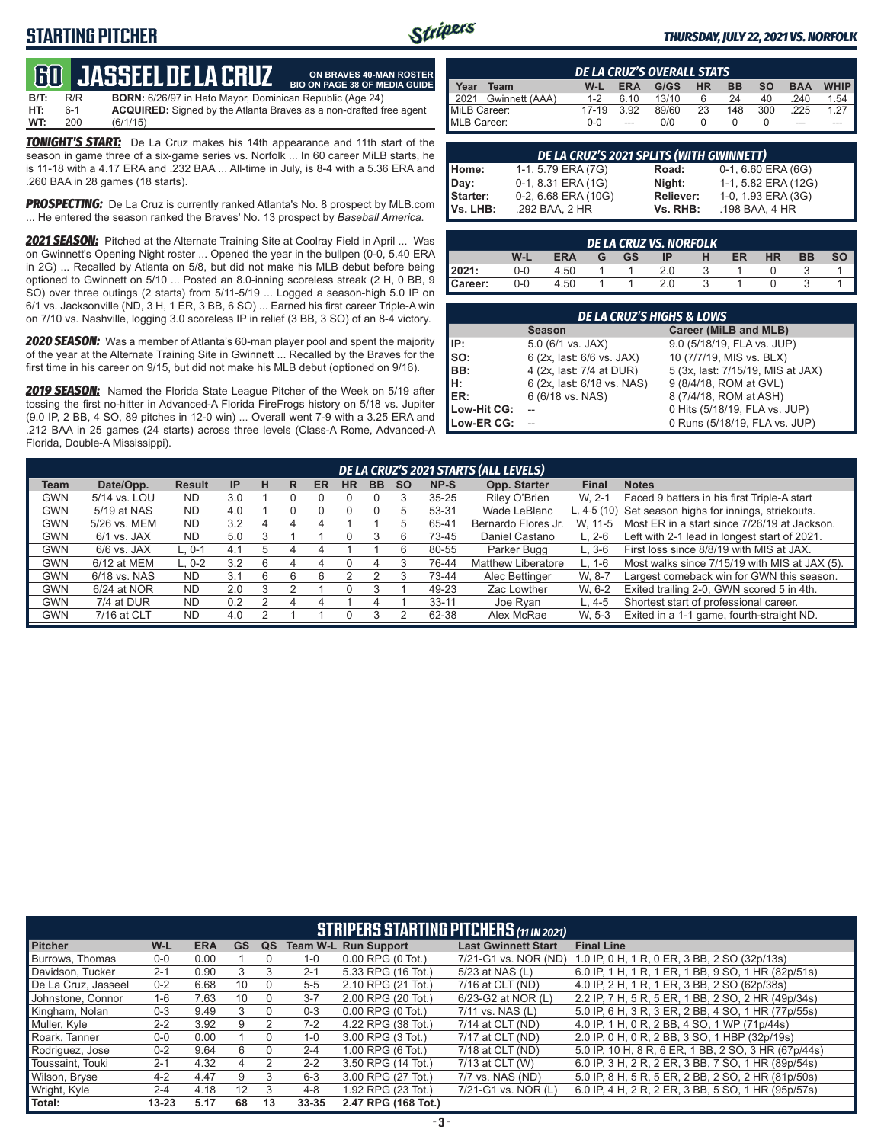## **STARTING PITCHER**



**ON BRAVES 40-MAN ROSTER**

### *THURSDAY, JULY 22, 2021 VS. NORFOLK*

# **60****JASSEEL DE LA CRUZ**

**B/T:** R/R **BORN:** 6/26/97 in Hato Mayor, Dominican Republic (Age 24)<br>**HT:** 6-1 **ACQUIRED:** Signed by the Atlanta Braves as a non-drafted f **HT:** 6-1 **ACQUIRED:** Signed by the Atlanta Braves as a non-drafted free agent **WT:** 200 (6/1/15) **BIO ON PAGE 38 OF MEDIA GUIDE**

*TONIGHT'S START:* De La Cruz makes his 14th appearance and 11th start of the season in game three of a six-game series vs. Norfolk ... In 60 career MiLB starts, he is 11-18 with a 4.17 ERA and .232 BAA ... All-time in July, is 8-4 with a 5.36 ERA and .260 BAA in 28 games (18 starts).

*PROSPECTING:* De La Cruz is currently ranked Atlanta's No. 8 prospect by MLB.com ... He entered the season ranked the Braves' No. 13 prospect by *Baseball America*.

*2021 SEASON:* Pitched at the Alternate Training Site at Coolray Field in April ... Was on Gwinnett's Opening Night roster ... Opened the year in the bullpen (0-0, 5.40 ERA in 2G) ... Recalled by Atlanta on 5/8, but did not make his MLB debut before being optioned to Gwinnett on 5/10 ... Posted an 8.0-inning scoreless streak (2 H, 0 BB, 9 SO) over three outings (2 starts) from 5/11-5/19 ... Logged a season-high 5.0 IP on 6/1 vs. Jacksonville (ND, 3 H, 1 ER, 3 BB, 6 SO) ... Earned his first career Triple-A win on 7/10 vs. Nashville, logging 3.0 scoreless IP in relief (3 BB, 3 SO) of an 8-4 victory.

*2020 SEASON:* Was a member of Atlanta's 60-man player pool and spent the majority of the year at the Alternate Training Site in Gwinnett ... Recalled by the Braves for the first time in his career on 9/15, but did not make his MLB debut (optioned on 9/16).

*2019 SEASON:* Named the Florida State League Pitcher of the Week on 5/19 after tossing the first no-hitter in Advanced-A Florida FireFrogs history on 5/18 vs. Jupiter (9.0 IP, 2 BB, 4 SO, 89 pitches in 12-0 win) ... Overall went 7-9 with a 3.25 ERA and .212 BAA in 25 games (24 starts) across three levels (Class-A Rome, Advanced-A Florida, Double-A Mississippi).

|                     | <b>DE LA CRUZ'S OVERALL STATS</b> |         |            |       |           |           |           |            |                     |  |  |  |  |
|---------------------|-----------------------------------|---------|------------|-------|-----------|-----------|-----------|------------|---------------------|--|--|--|--|
| Year                | Team                              | W-L     | <b>ERA</b> | G/GS  | <b>HR</b> | <b>BB</b> | <b>SO</b> | <b>BAA</b> | <b>WHIP</b>         |  |  |  |  |
| $\blacksquare$ 2021 | Gwinnett (AAA)                    | $1 - 2$ | 6.10       | 13/10 | 6         | 24        | 40        | .240       | $1.54$              |  |  |  |  |
| MiLB Career:        |                                   | 17-19   | 3.92       | 89/60 | 23        | 148       | 300       | .225       | 1 27 $\blacksquare$ |  |  |  |  |
| MLB Career:         |                                   | $0 - 0$ |            | 0/0   |           |           |           | ---        |                     |  |  |  |  |

|          | DE LA CRUZ'S 2021 SPLITS (WITH GWINNETT) |           |                     |  |  |  |  |  |  |  |
|----------|------------------------------------------|-----------|---------------------|--|--|--|--|--|--|--|
| Home:    | 1-1, 5.79 ERA (7G)                       | Road:     | 0-1, 6.60 ERA (6G)  |  |  |  |  |  |  |  |
| Day:     | 0-1, 8.31 ERA (1G)                       | Night:    | 1-1, 5.82 ERA (12G) |  |  |  |  |  |  |  |
| Starter: | 0-2, 6.68 ERA (10G)                      | Reliever: | 1-0, 1.93 ERA (3G)  |  |  |  |  |  |  |  |
| Vs. LHB: | .292 BAA, 2 HR                           | Vs. RHB:  | .198 BAA, 4 HR      |  |  |  |  |  |  |  |

| <b>DE LA CRUZ VS. NORFOLK</b> |     |            |   |           |     |   |    |           |           |  |  |  |
|-------------------------------|-----|------------|---|-----------|-----|---|----|-----------|-----------|--|--|--|
|                               | W-l | <b>ERA</b> | G | <b>GS</b> | ΙP  | н | ER | <b>HR</b> | <b>BB</b> |  |  |  |
| 12021:                        | 0-0 | 4.50       |   |           | 2.0 |   |    |           |           |  |  |  |
| Career:                       | 0-0 | 4.50       |   |           | 2.0 |   |    |           |           |  |  |  |

|             | <b>DE LA CRUZ'S HIGHS &amp; LOWS</b> |                                   |  |  |  |  |  |  |  |  |
|-------------|--------------------------------------|-----------------------------------|--|--|--|--|--|--|--|--|
|             | <b>Season</b>                        | Career (MiLB and MLB)             |  |  |  |  |  |  |  |  |
| IP:         | $5.0$ (6/1 vs. JAX)                  | 9.0 (5/18/19, FLA vs. JUP)        |  |  |  |  |  |  |  |  |
| SO:         | 6 (2x, last: 6/6 vs. JAX)            | 10 (7/7/19, MIS vs. BLX)          |  |  |  |  |  |  |  |  |
| BB:         | 4 (2x, last: 7/4 at DUR)             | 5 (3x, last: 7/15/19, MIS at JAX) |  |  |  |  |  |  |  |  |
| н:          | 6 (2x, last: 6/18 vs. NAS)           | 9 (8/4/18, ROM at GVL)            |  |  |  |  |  |  |  |  |
| ER:         | 6 (6/18 vs. NAS)                     | 8 (7/4/18, ROM at ASH)            |  |  |  |  |  |  |  |  |
| Low-Hit CG: |                                      | 0 Hits (5/18/19, FLA vs. JUP)     |  |  |  |  |  |  |  |  |
| Low-ER CG:  |                                      | 0 Runs (5/18/19, FLA vs. JUP)     |  |  |  |  |  |  |  |  |

|             |               |               |     |    |   |           |           |           |           |           | DE LA CRUZ'S 2021 STARTS (ALL LEVELS) |              |                                                       |
|-------------|---------------|---------------|-----|----|---|-----------|-----------|-----------|-----------|-----------|---------------------------------------|--------------|-------------------------------------------------------|
| <b>Team</b> | Date/Opp.     | <b>Result</b> | IP  | н  | R | <b>ER</b> | <b>HR</b> | <b>BB</b> | <b>SO</b> | NP-S      | Opp. Starter                          | <b>Final</b> | <b>Notes</b>                                          |
| <b>GWN</b>  | 5/14 vs. LOU  | <b>ND</b>     | 3.0 |    |   |           |           |           |           | $35 - 25$ | Rilev O'Brien                         | W. 2-1       | Faced 9 batters in his first Triple-A start           |
| <b>GWN</b>  | 5/19 at NAS   | <b>ND</b>     | 4.0 |    |   |           |           |           | 5         | 53-31     | Wade LeBlanc                          |              | L, 4-5 (10) Set season highs for innings, striekouts. |
| <b>GWN</b>  | 5/26 vs. MEM  | <b>ND</b>     | 3.2 | 4  |   | ◢         |           |           | 5         | 65-41     | Bernardo Flores Jr.                   | W. 11-5      | Most ER in a start since 7/26/19 at Jackson.          |
| <b>GWN</b>  | $6/1$ vs. JAX | <b>ND</b>     | 5.0 |    |   |           |           |           | 6         | 73-45     | Daniel Castano                        | $L. 2-6$     | Left with 2-1 lead in longest start of 2021.          |
| <b>GWN</b>  | $6/6$ vs. JAX | L. 0-1        | 4.1 | .h |   | 4         |           |           | 6         | 80-55     | Parker Bugg                           | $L.3-6$      | First loss since 8/8/19 with MIS at JAX.              |
| <b>GWN</b>  | 6/12 at MEM   | $L. 0-2$      | 3.2 | ิค |   |           |           |           |           | 76-44     | <b>Matthew Liberatore</b>             | L. 1-6       | Most walks since 7/15/19 with MIS at JAX (5).         |
| <b>GWN</b>  | 6/18 vs. NAS  | <b>ND</b>     | 3.1 | 6  |   |           |           |           |           | 73-44     | Alec Bettinger                        | W. 8-7       | Largest comeback win for GWN this season.             |
| <b>GWN</b>  | 6/24 at NOR   | <b>ND</b>     | 2.0 | 3  |   |           |           |           |           | 49-23     | Zac Lowther                           | W. 6-2       | Exited trailing 2-0, GWN scored 5 in 4th.             |
| <b>GWN</b>  | 7/4 at DUR    | <b>ND</b>     | 0.2 |    |   |           |           | 4         |           | $33 - 11$ | Joe Ryan                              | $L.4-5$      | Shortest start of professional career.                |
| <b>GWN</b>  | 7/16 at CLT   | <b>ND</b>     | 4.0 |    |   |           |           |           |           | 62-38     | Alex McRae                            | W. 5-3       | Exited in a 1-1 game, fourth-straight ND.             |

|                     | <b>STRIPERS STARTING PITCHERS (11 IN 2021)</b> |            |           |          |           |                             |                            |                                                     |  |  |  |  |  |  |
|---------------------|------------------------------------------------|------------|-----------|----------|-----------|-----------------------------|----------------------------|-----------------------------------------------------|--|--|--|--|--|--|
| <b>Pitcher</b>      | $W-L$                                          | <b>ERA</b> | <b>GS</b> | QS       |           | <b>Team W-L Run Support</b> | <b>Last Gwinnett Start</b> | <b>Final Line</b>                                   |  |  |  |  |  |  |
| Burrows, Thomas     | $0 - 0$                                        | 0.00       |           | 0        | $1 - 0$   | $0.00$ RPG $(0$ Tot.)       | 7/21-G1 vs. NOR (ND)       | 1.0 IP, 0 H, 1 R, 0 ER, 3 BB, 2 SO (32p/13s)        |  |  |  |  |  |  |
| Davidson, Tucker    | $2 - 1$                                        | 0.90       | 3         | 3        | $2 - 1$   | 5.33 RPG (16 Tot.)          | 5/23 at NAS (L)            | 6.0 IP, 1 H, 1 R, 1 ER, 1 BB, 9 SO, 1 HR (82p/51s)  |  |  |  |  |  |  |
| De La Cruz. Jasseel | $0 - 2$                                        | 6.68       | 10        | $\Omega$ | $5 - 5$   | 2.10 RPG (21 Tot.)          | 7/16 at CLT (ND)           | 4.0 IP, 2 H, 1 R, 1 ER, 3 BB, 2 SO (62p/38s)        |  |  |  |  |  |  |
| Johnstone, Connor   | 1-6                                            | 7.63       | 10        | $\Omega$ | $3 - 7$   | 2.00 RPG (20 Tot.)          | 6/23-G2 at NOR (L)         | 2.2 IP, 7 H, 5 R, 5 ER, 1 BB, 2 SO, 2 HR (49p/34s)  |  |  |  |  |  |  |
| Kingham, Nolan      | $0 - 3$                                        | 9.49       | 3         | 0        | $0 - 3$   | $0.00$ RPG $(0$ Tot.)       | 7/11 vs. NAS (L)           | 5.0 IP, 6 H, 3 R, 3 ER, 2 BB, 4 SO, 1 HR (77p/55s)  |  |  |  |  |  |  |
| Muller, Kyle        | $2 - 2$                                        | 3.92       | 9         |          | $7 - 2$   | 4.22 RPG (38 Tot.)          | 7/14 at CLT (ND)           | 4.0 IP, 1 H, 0 R, 2 BB, 4 SO, 1 WP (71p/44s)        |  |  |  |  |  |  |
| Roark, Tanner       | $0 - 0$                                        | 0.00       |           |          | $1 - 0$   | 3.00 RPG (3 Tot.)           | 7/17 at CLT (ND)           | 2.0 IP, 0 H, 0 R, 2 BB, 3 SO, 1 HBP (32p/19s)       |  |  |  |  |  |  |
| Rodriguez, Jose     | $0 - 2$                                        | 9.64       | 6         | 0        | $2 - 4$   | 1.00 RPG (6 Tot.)           | 7/18 at CLT (ND)           | 5.0 IP, 10 H, 8 R, 6 ER, 1 BB, 2 SO, 3 HR (67p/44s) |  |  |  |  |  |  |
| Toussaint, Touki    | $2 - 1$                                        | 4.32       | 4         | 2        | $2 - 2$   | 3.50 RPG (14 Tot.)          | 7/13 at CLT (W)            | 6.0 IP, 3 H, 2 R, 2 ER, 3 BB, 7 SO, 1 HR (89p/54s)  |  |  |  |  |  |  |
| Wilson, Bryse       | $4 - 2$                                        | 4.47       | 9         | 3        | $6 - 3$   | 3.00 RPG (27 Tot.)          | 7/7 vs. NAS (ND)           | 5.0 IP, 8 H, 5 R, 5 ER, 2 BB, 2 SO, 2 HR (81p/50s)  |  |  |  |  |  |  |
| Wright, Kyle        | $2 - 4$                                        | 4.18       | 12        | 3        | $4 - 8$   | 1.92 RPG (23 Tot.)          | 7/21-G1 vs. NOR (L)        | 6.0 IP, 4 H, 2 R, 2 ER, 3 BB, 5 SO, 1 HR (95p/57s)  |  |  |  |  |  |  |
| Total:              | $13 - 23$                                      | 5.17       | 68        | 13       | $33 - 35$ | 2.47 RPG (168 Tot.)         |                            |                                                     |  |  |  |  |  |  |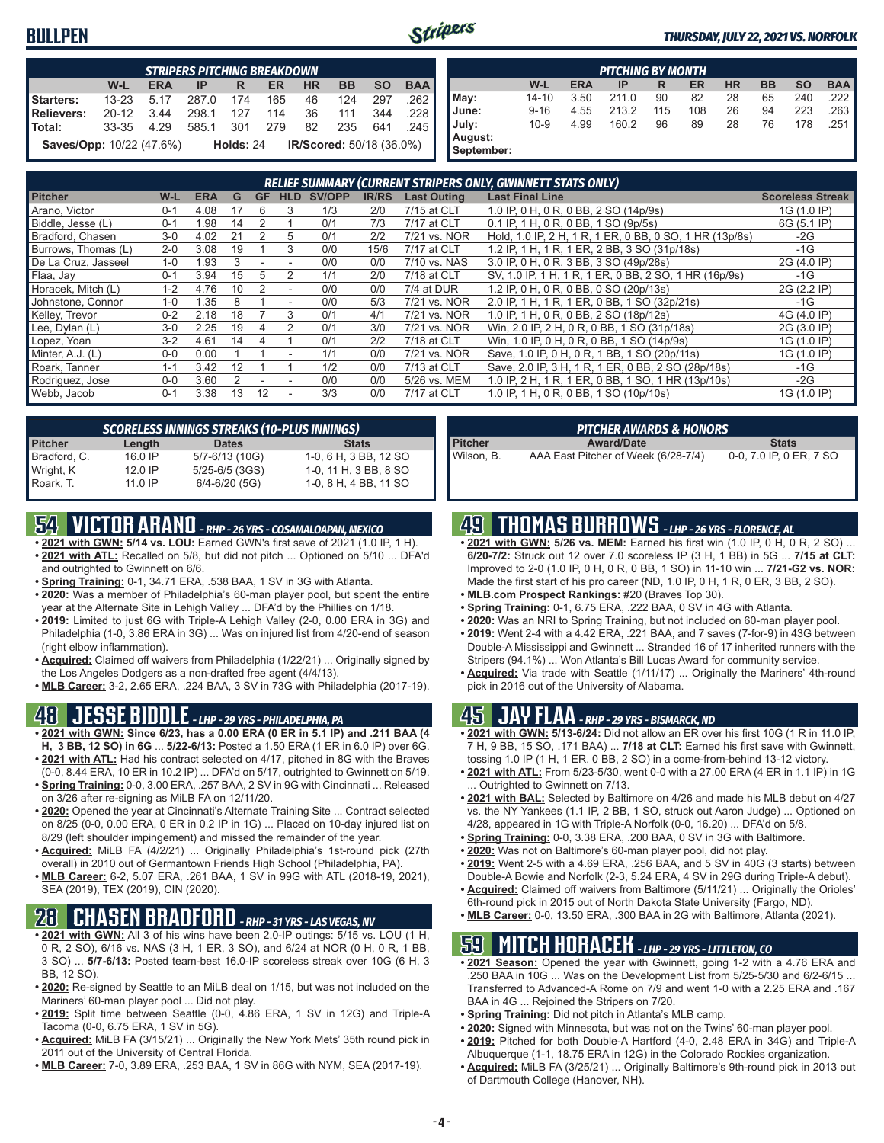### **BULLPEN**



**August: September:**

### *THURSDAY, JULY 22, 2021 VS. NORFOLK*

|                                                                       | <b>STRIPERS PITCHING BREAKDOWN</b>      |            |            |  |    |    |           |           |            |  |  |  |  |
|-----------------------------------------------------------------------|-----------------------------------------|------------|------------|--|----|----|-----------|-----------|------------|--|--|--|--|
|                                                                       | W-L                                     | <b>ERA</b> | <b>IPR</b> |  | ER | HR | <b>BB</b> | <b>SO</b> | <b>BAA</b> |  |  |  |  |
| Starters:                                                             | 13-23 5.17 287.0 174 165 46 124 297     |            |            |  |    |    |           |           | .262       |  |  |  |  |
| Relievers:                                                            | 20-12 3.44 298.1 127 114 36 111 344 228 |            |            |  |    |    |           |           |            |  |  |  |  |
| Total: 33-35 4.29 585.1 301 279 82 235 641 .245                       |                                         |            |            |  |    |    |           |           |            |  |  |  |  |
| Holds: 24 IR/Scored: 50/18 (36.0%)<br><b>Saves/Opp: 10/22 (47.6%)</b> |                                         |            |            |  |    |    |           |           |            |  |  |  |  |

| <b>PITCHING BY MONTH</b> |           |            |       |     |     |           |           |           |            |  |
|--------------------------|-----------|------------|-------|-----|-----|-----------|-----------|-----------|------------|--|
|                          | W-L       | <b>ERA</b> | IP    | R   | ER  | <b>HR</b> | <b>BB</b> | <b>SO</b> | <b>BAA</b> |  |
| May:                     | $14 - 10$ | 3.50       | 211.0 | 90  | 82  | 28        | 65        | 240       | .222       |  |
| June:                    | $9 - 16$  | 4.55       | 213.2 | 115 | 108 | 26        | 94        | 223       | .263       |  |
| July:                    | $10 - 9$  | 4.99       | 160.2 | 96  | 89  | 28        | 76        | 178       | .251       |  |
| August:<br>Sentember:    |           |            |       |     |     |           |           |           |            |  |

| <b>RELIEF SUMMARY (CURRENT STRIPERS ONLY, GWINNETT STATS ONLY)</b> |         |            |    |           |                |        |              |                    |                                                         |                         |
|--------------------------------------------------------------------|---------|------------|----|-----------|----------------|--------|--------------|--------------------|---------------------------------------------------------|-------------------------|
| <b>Pitcher</b>                                                     | W-L     | <b>ERA</b> | G  | <b>GF</b> | <b>HLD</b>     | SV/OPP | <b>IR/RS</b> | <b>Last Outing</b> | <b>Last Final Line</b>                                  | <b>Scoreless Streak</b> |
| Arano. Victor                                                      | $0 - 1$ | 4.08       | 17 | 6         | 3              | 1/3    | 2/0          | 7/15 at CLT        | 1.0 IP, 0 H, 0 R, 0 BB, 2 SO (14p/9s)                   | 1G (1.0 IP)             |
| Biddle, Jesse (L)                                                  | $0 - 1$ | 1.98       | 14 |           |                | 0/1    | 7/3          | 7/17 at CLT        | 0.1 IP, 1 H, 0 R, 0 BB, 1 SO (9p/5s)                    | 6G (5.1 IP)             |
| Bradford, Chasen                                                   | $3 - 0$ | 4.02       | 21 |           | 5              | 0/1    | 2/2          | 7/21 vs. NOR       | Hold, 1.0 IP, 2 H, 1 R, 1 ER, 0 BB, 0 SO, 1 HR (13p/8s) | $-2G$                   |
| Burrows, Thomas (L)                                                | $2 - 0$ | 3.08       | 19 |           | 3              | 0/0    | 15/6         | 7/17 at CLT        | 1.2 IP, 1 H, 1 R, 1 ER, 2 BB, 3 SO (31p/18s)            | $-1G$                   |
| De La Cruz, Jasseel                                                | $1 - 0$ | 1.93       | 3  |           |                | 0/0    | 0/0          | 7/10 vs. NAS       | 3.0 IP, 0 H, 0 R, 3 BB, 3 SO (49p/28s)                  | 2G (4.0 IP)             |
| Flaa, Jay                                                          | $0 - 1$ | 3.94       | 15 | 5         | 2              | 1/1    | 2/0          | 7/18 at CLT        | SV, 1.0 IP, 1 H, 1 R, 1 ER, 0 BB, 2 SO, 1 HR (16p/9s)   | $-1G$                   |
| Horacek, Mitch (L)                                                 | $1 - 2$ | 4.76       | 10 |           |                | 0/0    | 0/0          | 7/4 at DUR         | 1.2 IP, 0 H, 0 R, 0 BB, 0 SO (20p/13s)                  | 2G (2.2 IP)             |
| Johnstone, Connor                                                  | $1 - 0$ | 1.35       |    |           |                | 0/0    | 5/3          | 7/21 vs. NOR       | 2.0 IP, 1 H, 1 R, 1 ER, 0 BB, 1 SO (32p/21s)            | $-1G$                   |
| Kelley, Trevor                                                     | $0 - 2$ | 2.18       | 18 |           |                | 0/1    | 4/1          | 7/21 vs. NOR       | 1.0 IP, 1 H, 0 R, 0 BB, 2 SO (18p/12s)                  | 4G (4.0 IP)             |
| Lee, Dylan (L)                                                     | $3 - 0$ | 2.25       | 19 |           |                | 0/1    | 3/0          | 7/21 vs. NOR       | Win, 2.0 IP, 2 H, 0 R, 0 BB, 1 SO (31p/18s)             | 2G (3.0 IP)             |
| Lopez, Yoan                                                        | $3-2$   | 4.61       | 14 |           |                | 0/1    | 2/2          | 7/18 at CLT        | Win, 1.0 IP, 0 H, 0 R, 0 BB, 1 SO (14p/9s)              | 1G (1.0 IP)             |
| Minter, A.J. (L)                                                   | $0 - 0$ | 0.00       |    |           | $\overline{a}$ | 1/1    | 0/0          | 7/21 vs. NOR       | Save, 1.0 IP, 0 H, 0 R, 1 BB, 1 SO (20p/11s)            | 1G (1.0 IP)             |
| Roark, Tanner                                                      | $1 - 1$ | 3.42       | 12 |           |                | 1/2    | 0/0          | 7/13 at CLT        | Save, 2.0 IP, 3 H, 1 R, 1 ER, 0 BB, 2 SO (28p/18s)      | $-1G$                   |
| Rodriguez, Jose                                                    | $0 - 0$ | 3.60       |    |           |                | 0/0    | 0/0          | 5/26 vs. MEM       | 1.0 IP, 2 H, 1 R, 1 ER, 0 BB, 1 SO, 1 HR (13p/10s)      | $-2G$                   |
| Webb, Jacob                                                        | $0 - 1$ | 3.38       | 13 | 12        |                | 3/3    | 0/0          | 7/17 at CLT        | 1.0 IP, 1 H, 0 R, 0 BB, 1 SO (10p/10s)                  | 1G (1.0 IP)             |

| <b>SCORELESS INNINGS STREAKS (10-PLUS INNINGS)</b> |           |                   |                       |  |  |  |  |  |  |
|----------------------------------------------------|-----------|-------------------|-----------------------|--|--|--|--|--|--|
| <b>Pitcher</b>                                     | Length    | <b>Dates</b>      | <b>Stats</b>          |  |  |  |  |  |  |
| Bradford, C.                                       | $16.0$ IP | 5/7-6/13 (10G)    | 1-0, 6 H, 3 BB, 12 SO |  |  |  |  |  |  |
| Wright, K                                          | $12.0$ IP | 5/25-6/5 (3GS)    | 1-0, 11 H, 3 BB, 8 SO |  |  |  |  |  |  |
| Roark, T.                                          | 11.0 IP   | $6/4 - 6/20$ (5G) | 1-0, 8 H, 4 BB, 11 SO |  |  |  |  |  |  |

# **54 VICTOR ARANO** *- RHP - 26 YRS - COSAMALOAPAN, MEXICO*

- **• 2021 with GWN: 5/14 vs. LOU:** Earned GWN's first save of 2021 (1.0 IP, 1 H). **• 2021 with ATL:** Recalled on 5/8, but did not pitch ... Optioned on 5/10 ... DFA'd and outrighted to Gwinnett on 6/6.
- **• Spring Training:** 0-1, 34.71 ERA, .538 BAA, 1 SV in 3G with Atlanta.
- **• 2020:** Was a member of Philadelphia's 60-man player pool, but spent the entire year at the Alternate Site in Lehigh Valley ... DFA'd by the Phillies on 1/18.
- **• 2019:** Limited to just 6G with Triple-A Lehigh Valley (2-0, 0.00 ERA in 3G) and Philadelphia (1-0, 3.86 ERA in 3G) ... Was on injured list from 4/20-end of season (right elbow inflammation).
- **• Acquired:** Claimed off waivers from Philadelphia (1/22/21) ... Originally signed by the Los Angeles Dodgers as a non-drafted free agent (4/4/13).
- **• MLB Career:** 3-2, 2.65 ERA, .224 BAA, 3 SV in 73G with Philadelphia (2017-19).

### **48 JESSE BIDDLE** *- LHP - 29 YRS - PHILADELPHIA, PA*

- **• 2021 with GWN: Since 6/23, has a 0.00 ERA (0 ER in 5.1 IP) and .211 BAA (4 H, 3 BB, 12 SO) in 6G** ... **5/22-6/13:** Posted a 1.50 ERA (1 ER in 6.0 IP) over 6G. **• 2021 with ATL:** Had his contract selected on 4/17, pitched in 8G with the Braves
- (0-0, 8.44 ERA, 10 ER in 10.2 IP) ... DFA'd on 5/17, outrighted to Gwinnett on 5/19. **• Spring Training:** 0-0, 3.00 ERA, .257 BAA, 2 SV in 9G with Cincinnati ... Released
- on 3/26 after re-signing as MiLB FA on 12/11/20. **• 2020:** Opened the year at Cincinnati's Alternate Training Site ... Contract selected
- on 8/25 (0-0, 0.00 ERA, 0 ER in 0.2 IP in 1G) ... Placed on 10-day injured list on 8/29 (left shoulder impingement) and missed the remainder of the year.
- **• Acquired:** MiLB FA (4/2/21) ... Originally Philadelphia's 1st-round pick (27th overall) in 2010 out of Germantown Friends High School (Philadelphia, PA).
- **• MLB Career:** 6-2, 5.07 ERA, .261 BAA, 1 SV in 99G with ATL (2018-19, 2021), SEA (2019), TEX (2019), CIN (2020).

## **28 CHASEN BRADFORD** *- RHP - 31 YRS - LAS VEGAS, NV*

- **• 2021 with GWN:** All 3 of his wins have been 2.0-IP outings: 5/15 vs. LOU (1 H, 0 R, 2 SO), 6/16 vs. NAS (3 H, 1 ER, 3 SO), and 6/24 at NOR (0 H, 0 R, 1 BB, 3 SO) ... **5/7-6/13:** Posted team-best 16.0-IP scoreless streak over 10G (6 H, 3 BB, 12 SO).
- **• 2020:** Re-signed by Seattle to an MiLB deal on 1/15, but was not included on the Mariners' 60-man player pool ... Did not play.
- **• 2019:** Split time between Seattle (0-0, 4.86 ERA, 1 SV in 12G) and Triple-A Tacoma (0-0, 6.75 ERA, 1 SV in 5G).
- **• Acquired:** MiLB FA (3/15/21) ... Originally the New York Mets' 35th round pick in 2011 out of the University of Central Florida.
- **• MLB Career:** 7-0, 3.89 ERA, .253 BAA, 1 SV in 86G with NYM, SEA (2017-19).

| <b>PITCHER AWARDS &amp; HONORS</b> |                                     |                         |  |  |  |  |  |
|------------------------------------|-------------------------------------|-------------------------|--|--|--|--|--|
| <b>Pitcher</b>                     | <b>Award/Date</b>                   | <b>Stats</b>            |  |  |  |  |  |
| Wilson, B.                         | AAA East Pitcher of Week (6/28-7/4) | 0-0, 7.0 IP, 0 ER, 7 SO |  |  |  |  |  |

## **49 THOMAS BURROWS** *- LHP - 26 YRS - FLORENCE, AL*

- **• 2021 with GWN: 5/26 vs. MEM:** Earned his first win (1.0 IP, 0 H, 0 R, 2 SO) ... **6/20-7/2:** Struck out 12 over 7.0 scoreless IP (3 H, 1 BB) in 5G ... **7/15 at CLT:** Improved to 2-0 (1.0 IP, 0 H, 0 R, 0 BB, 1 SO) in 11-10 win ... **7/21-G2 vs. NOR:** Made the first start of his pro career (ND, 1.0 IP, 0 H, 1 R, 0 ER, 3 BB, 2 SO).
- **• MLB.com Prospect Rankings:** #20 (Braves Top 30).
- **• Spring Training:** 0-1, 6.75 ERA, .222 BAA, 0 SV in 4G with Atlanta.
- **• 2020:** Was an NRI to Spring Training, but not included on 60-man player pool.
- **• 2019:** Went 2-4 with a 4.42 ERA, .221 BAA, and 7 saves (7-for-9) in 43G between Double-A Mississippi and Gwinnett ... Stranded 16 of 17 inherited runners with the Stripers (94.1%) ... Won Atlanta's Bill Lucas Award for community service.
- **• Acquired:** Via trade with Seattle (1/11/17) ... Originally the Mariners' 4th-round pick in 2016 out of the University of Alabama.

## **45 JAY FLAA** *- RHP - 29 YRS - BISMARCK, ND*

- **• 2021 with GWN: 5/13-6/24:** Did not allow an ER over his first 10G (1 R in 11.0 IP, 7 H, 9 BB, 15 SO, .171 BAA) ... **7/18 at CLT:** Earned his first save with Gwinnett, tossing 1.0 IP (1 H, 1 ER, 0 BB, 2 SO) in a come-from-behind 13-12 victory.
- **• 2021 with ATL:** From 5/23-5/30, went 0-0 with a 27.00 ERA (4 ER in 1.1 IP) in 1G Outrighted to Gwinnett on 7/13.
- **• 2021 with BAL:** Selected by Baltimore on 4/26 and made his MLB debut on 4/27 vs. the NY Yankees (1.1 IP, 2 BB, 1 SO, struck out Aaron Judge) ... Optioned on 4/28, appeared in 1G with Triple-A Norfolk (0-0, 16.20) ... DFA'd on 5/8.
- **• Spring Training:** 0-0, 3.38 ERA, .200 BAA, 0 SV in 3G with Baltimore.
- **• 2020:** Was not on Baltimore's 60-man player pool, did not play.
- **• 2019:** Went 2-5 with a 4.69 ERA, .256 BAA, and 5 SV in 40G (3 starts) between Double-A Bowie and Norfolk (2-3, 5.24 ERA, 4 SV in 29G during Triple-A debut).
- **• Acquired:** Claimed off waivers from Baltimore (5/11/21) ... Originally the Orioles' 6th-round pick in 2015 out of North Dakota State University (Fargo, ND).
- **• MLB Career:** 0-0, 13.50 ERA, .300 BAA in 2G with Baltimore, Atlanta (2021).

## **59 MITCH HORACEK** *- LHP - 29 YRS - LITTLETON, CO*

- **• 2021 Season:** Opened the year with Gwinnett, going 1-2 with a 4.76 ERA and .250 BAA in 10G ... Was on the Development List from 5/25-5/30 and 6/2-6/15 ... Transferred to Advanced-A Rome on 7/9 and went 1-0 with a 2.25 ERA and .167 BAA in 4G ... Rejoined the Stripers on 7/20.
- **• Spring Training:** Did not pitch in Atlanta's MLB camp.
- **• 2020:** Signed with Minnesota, but was not on the Twins' 60-man player pool.
- **• 2019:** Pitched for both Double-A Hartford (4-0, 2.48 ERA in 34G) and Triple-A
- Albuquerque (1-1, 18.75 ERA in 12G) in the Colorado Rockies organization. **• Acquired:** MiLB FA (3/25/21) ... Originally Baltimore's 9th-round pick in 2013 out of Dartmouth College (Hanover, NH).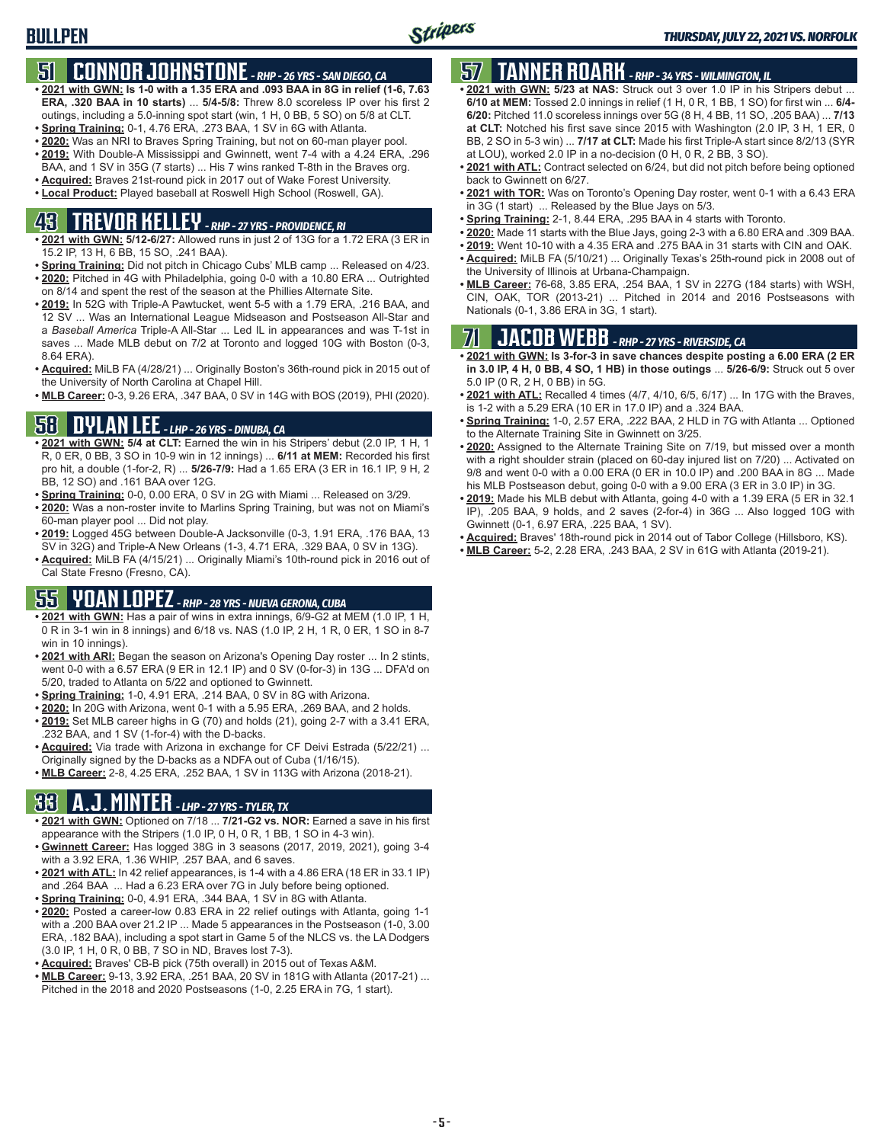# **51 CONNOR JOHNSTONE** *- RHP - 26 YRS - SAN DIEGO, CA*

- **• 2021 with GWN: Is 1-0 with a 1.35 ERA and .093 BAA in 8G in relief (1-6, 7.63 ERA, .320 BAA in 10 starts)** ... **5/4-5/8:** Threw 8.0 scoreless IP over his first 2 outings, including a 5.0-inning spot start (win, 1 H, 0 BB, 5 SO) on 5/8 at CLT.
- **• Spring Training:** 0-1, 4.76 ERA, .273 BAA, 1 SV in 6G with Atlanta.
- **• 2020:** Was an NRI to Braves Spring Training, but not on 60-man player pool. **• 2019:** With Double-A Mississippi and Gwinnett, went 7-4 with a 4.24 ERA, .296
- BAA, and 1 SV in 35G (7 starts) ... His 7 wins ranked T-8th in the Braves org.
- **• Acquired:** Braves 21st-round pick in 2017 out of Wake Forest University. **• Local Product:** Played baseball at Roswell High School (Roswell, GA).

# **43 TREVOR KELLEY** *- RHP - 27 YRS - PROVIDENCE, RI*

- **• 2021 with GWN: 5/12-6/27:** Allowed runs in just 2 of 13G for a 1.72 ERA (3 ER in 15.2 IP, 13 H, 6 BB, 15 SO, .241 BAA).
- **• Spring Training:** Did not pitch in Chicago Cubs' MLB camp ... Released on 4/23. **• 2020:** Pitched in 4G with Philadelphia, going 0-0 with a 10.80 ERA ... Outrighted on 8/14 and spent the rest of the season at the Phillies Alternate Site.
- **• 2019:** In 52G with Triple-A Pawtucket, went 5-5 with a 1.79 ERA, .216 BAA, and 12 SV ... Was an International League Midseason and Postseason All-Star and a *Baseball America* Triple-A All-Star ... Led IL in appearances and was T-1st in saves ... Made MLB debut on 7/2 at Toronto and logged 10G with Boston (0-3, 8.64 ERA).
- **• Acquired:** MiLB FA (4/28/21) ... Originally Boston's 36th-round pick in 2015 out of the University of North Carolina at Chapel Hill.
- **• MLB Career:** 0-3, 9.26 ERA, .347 BAA, 0 SV in 14G with BOS (2019), PHI (2020).

## **58 DYLAN LEE** *- LHP - 26 YRS - DINUBA, CA*

- **• 2021 with GWN: 5/4 at CLT:** Earned the win in his Stripers' debut (2.0 IP, 1 H, 1 R, 0 ER, 0 BB, 3 SO in 10-9 win in 12 innings) ... **6/11 at MEM:** Recorded his first pro hit, a double (1-for-2, R) ... **5/26-7/9:** Had a 1.65 ERA (3 ER in 16.1 IP, 9 H, 2 BB, 12 SO) and .161 BAA over 12G.
- **• Spring Training:** 0-0, 0.00 ERA, 0 SV in 2G with Miami ... Released on 3/29.
- **• 2020:** Was a non-roster invite to Marlins Spring Training, but was not on Miami's 60-man player pool ... Did not play.
- **• 2019:** Logged 45G between Double-A Jacksonville (0-3, 1.91 ERA, .176 BAA, 13 SV in 32G) and Triple-A New Orleans (1-3, 4.71 ERA, .329 BAA, 0 SV in 13G).
- **• Acquired:** MiLB FA (4/15/21) ... Originally Miami's 10th-round pick in 2016 out of Cal State Fresno (Fresno, CA).

# **55 YOAN LOPEZ** *- RHP - 28 YRS - NUEVA GERONA, CUBA*

- **• 2021 with GWN:** Has a pair of wins in extra innings, 6/9-G2 at MEM (1.0 IP, 1 H, 0 R in 3-1 win in 8 innings) and 6/18 vs. NAS (1.0 IP, 2 H, 1 R, 0 ER, 1 SO in 8-7 win in 10 innings).
- **• 2021 with ARI:** Began the season on Arizona's Opening Day roster ... In 2 stints, went 0-0 with a 6.57 ERA (9 ER in 12.1 IP) and 0 SV (0-for-3) in 13G ... DFA'd on 5/20, traded to Atlanta on 5/22 and optioned to Gwinnett.
- **• Spring Training:** 1-0, 4.91 ERA, .214 BAA, 0 SV in 8G with Arizona.
- **• 2020:** In 20G with Arizona, went 0-1 with a 5.95 ERA, .269 BAA, and 2 holds.
- **• 2019:** Set MLB career highs in G (70) and holds (21), going 2-7 with a 3.41 ERA, .232 BAA, and 1 SV (1-for-4) with the D-backs.
- **• Acquired:** Via trade with Arizona in exchange for CF Deivi Estrada (5/22/21) ... Originally signed by the D-backs as a NDFA out of Cuba (1/16/15).
- **• MLB Career:** 2-8, 4.25 ERA, .252 BAA, 1 SV in 113G with Arizona (2018-21).

# **33 A.J. MINTER** *- LHP - 27 YRS - TYLER, TX*

- **• 2021 with GWN:** Optioned on 7/18 ... **7/21-G2 vs. NOR:** Earned a save in his first appearance with the Stripers (1.0 IP, 0 H, 0 R, 1 BB, 1 SO in 4-3 win).
- **• Gwinnett Career:** Has logged 38G in 3 seasons (2017, 2019, 2021), going 3-4 with a 3.92 ERA, 1.36 WHIP, .257 BAA, and 6 saves.
- **• 2021 with ATL:** In 42 relief appearances, is 1-4 with a 4.86 ERA (18 ER in 33.1 IP) and .264 BAA ... Had a 6.23 ERA over 7G in July before being optioned.
- **• Spring Training:** 0-0, 4.91 ERA, .344 BAA, 1 SV in 8G with Atlanta.
- **• 2020:** Posted a career-low 0.83 ERA in 22 relief outings with Atlanta, going 1-1 with a .200 BAA over 21.2 IP ... Made 5 appearances in the Postseason (1-0, 3.00 ERA, .182 BAA), including a spot start in Game 5 of the NLCS vs. the LA Dodgers (3.0 IP, 1 H, 0 R, 0 BB, 7 SO in ND, Braves lost 7-3).
- **• Acquired:** Braves' CB-B pick (75th overall) in 2015 out of Texas A&M.
- **• MLB Career:** 9-13, 3.92 ERA, .251 BAA, 20 SV in 181G with Atlanta (2017-21) ... Pitched in the 2018 and 2020 Postseasons (1-0, 2.25 ERA in 7G, 1 start).

# **57 TANNER ROARK** *- RHP - 34 YRS - WILMINGTON, IL*

- **• 2021 with GWN: 5/23 at NAS:** Struck out 3 over 1.0 IP in his Stripers debut ... **6/10 at MEM:** Tossed 2.0 innings in relief (1 H, 0 R, 1 BB, 1 SO) for first win ... **6/4- 6/20:** Pitched 11.0 scoreless innings over 5G (8 H, 4 BB, 11 SO, .205 BAA) ... **7/13 at CLT:** Notched his first save since 2015 with Washington (2.0 IP, 3 H, 1 ER, 0 BB, 2 SO in 5-3 win) ... **7/17 at CLT:** Made his first Triple-A start since 8/2/13 (SYR at LOU), worked 2.0 IP in a no-decision (0 H, 0 R, 2 BB, 3 SO).
- **• 2021 with ATL:** Contract selected on 6/24, but did not pitch before being optioned back to Gwinnett on 6/27.
- **• 2021 with TOR:** Was on Toronto's Opening Day roster, went 0-1 with a 6.43 ERA in 3G (1 start) ... Released by the Blue Jays on 5/3.
- **• Spring Training:** 2-1, 8.44 ERA, .295 BAA in 4 starts with Toronto.
- **• 2020:** Made 11 starts with the Blue Jays, going 2-3 with a 6.80 ERA and .309 BAA.
- **• 2019:** Went 10-10 with a 4.35 ERA and .275 BAA in 31 starts with CIN and OAK. **• Acquired:** MiLB FA (5/10/21) ... Originally Texas's 25th-round pick in 2008 out of
- the University of Illinois at Urbana-Champaign. **• MLB Career:** 76-68, 3.85 ERA, .254 BAA, 1 SV in 227G (184 starts) with WSH,
- CIN, OAK, TOR (2013-21) ... Pitched in 2014 and 2016 Postseasons with Nationals (0-1, 3.86 ERA in 3G, 1 start).

## **71 JACOB WEBB** *- RHP - 27 YRS - RIVERSIDE, CA*

**• 2021 with GWN: Is 3-for-3 in save chances despite posting a 6.00 ERA (2 ER in 3.0 IP, 4 H, 0 BB, 4 SO, 1 HB) in those outings** ... **5/26-6/9:** Struck out 5 over 5.0 IP (0 R, 2 H, 0 BB) in 5G.

- **• 2021 with ATL:** Recalled 4 times (4/7, 4/10, 6/5, 6/17) ... In 17G with the Braves, is 1-2 with a 5.29 ERA (10 ER in 17.0 IP) and a .324 BAA.
- **• Spring Training:** 1-0, 2.57 ERA, .222 BAA, 2 HLD in 7G with Atlanta ... Optioned to the Alternate Training Site in Gwinnett on 3/25.
- **• 2020:** Assigned to the Alternate Training Site on 7/19, but missed over a month with a right shoulder strain (placed on 60-day injured list on 7/20) ... Activated on 9/8 and went 0-0 with a 0.00 ERA (0 ER in 10.0 IP) and .200 BAA in 8G ... Made his MLB Postseason debut, going 0-0 with a 9.00 ERA (3 ER in 3.0 IP) in 3G.
- **• 2019:** Made his MLB debut with Atlanta, going 4-0 with a 1.39 ERA (5 ER in 32.1 IP), .205 BAA, 9 holds, and 2 saves (2-for-4) in 36G ... Also logged 10G with Gwinnett (0-1, 6.97 ERA, .225 BAA, 1 SV).
- **• Acquired:** Braves' 18th-round pick in 2014 out of Tabor College (Hillsboro, KS).
- **• MLB Career:** 5-2, 2.28 ERA, .243 BAA, 2 SV in 61G with Atlanta (2019-21).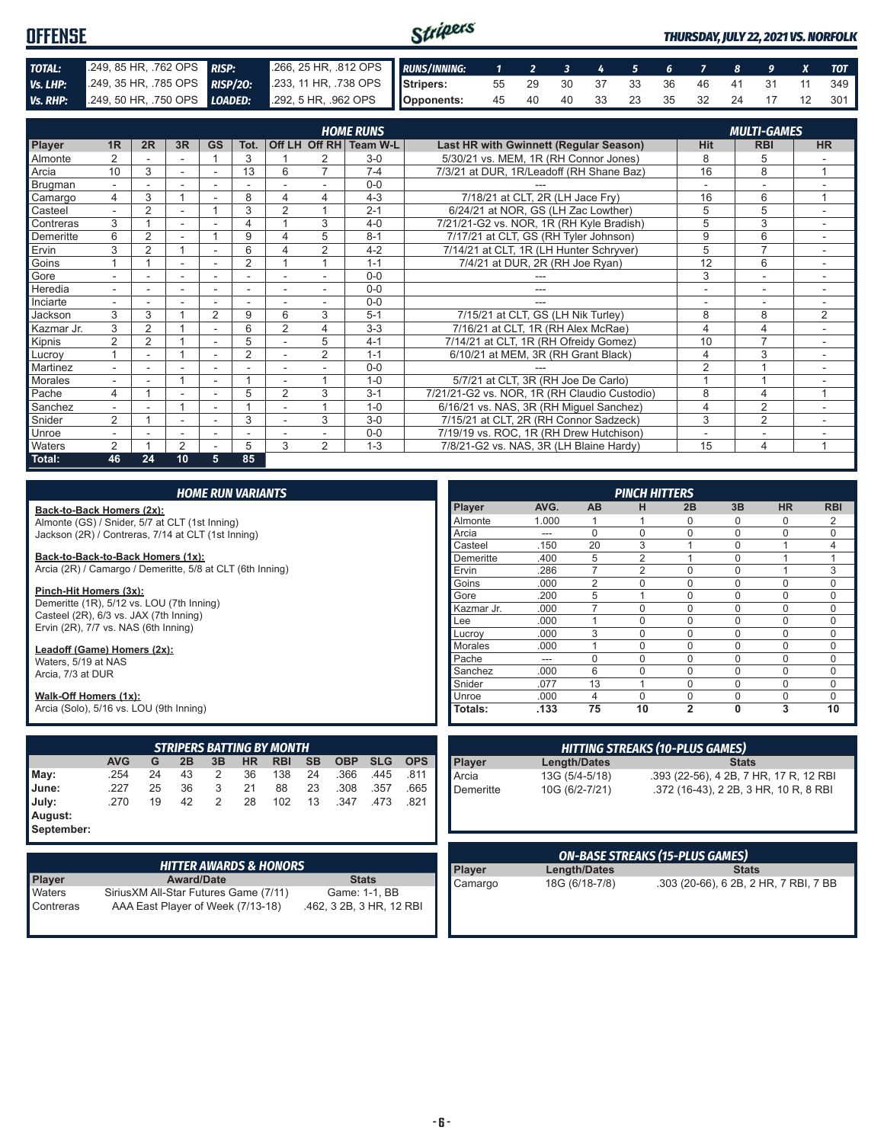#### Stripers **OFFENSE** *THURSDAY, JULY 22, 2021 VS. NORFOLK TOTAL:* .249, 85 HR, .762 OPS *RISP:* .266, 25 HR, .812 OPS *RUNS/INNING: 1 2 3 4 5 6 7 8 9 X TOT Vs. LHP:* .249, 35 HR, .785 OPS *RISP/2O:* .233, 11 HR, .738 OPS **Stripers:** 55 29 30 37 33 36 46 41 31 11 349 **Opponents:** 45 40 40 33 23 35 32 24 17 12 301 *Vs. RHP:* .249, 50 HR, .750 OPS *LOADED:* .292, 5 HR, .962 OPS

|               |                          |                |    |                |                |                |                | <b>HOME RUNS</b> |                                               |                | <b>MULTI-GAMES</b>       |                |
|---------------|--------------------------|----------------|----|----------------|----------------|----------------|----------------|------------------|-----------------------------------------------|----------------|--------------------------|----------------|
| <b>Player</b> | 1 <sub>R</sub>           | 2R             | 3R | GS             | Tot.           |                | Off LH Off RH  | Team W-L         | <b>Last HR with Gwinnett (Regular Season)</b> | <b>Hit</b>     | <b>RBI</b>               | <b>HR</b>      |
| Almonte       | $\overline{2}$           |                |    |                | 3              |                | 2              | $3-0$            | 5/30/21 vs. MEM, 1R (RH Connor Jones)         | 8              | 5                        |                |
| Arcia         | 10                       | 3              |    |                | 13             | 6              | $\overline{ }$ | $7 - 4$          | 7/3/21 at DUR, 1R/Leadoff (RH Shane Baz)      | 16             | 8                        |                |
| Brugman       | $\sim$                   |                |    | ۰              |                |                |                | $0 - 0$          |                                               |                | ۰                        |                |
| Camargo       | 4                        | 3              |    |                | 8              | 4              | 4              | $4 - 3$          | 7/18/21 at CLT, 2R (LH Jace Fry)              | 16             | 6                        | $\overline{ }$ |
| Casteel       |                          | 2              | ٠  |                | 3              | $\overline{2}$ |                | $2 - 1$          | 6/24/21 at NOR, GS (LH Zac Lowther)           | 5              | 5                        |                |
| Contreras     | 3                        |                | ٠  |                | 4              |                | 3              | $4 - 0$          | 7/21/21-G2 vs. NOR, 1R (RH Kyle Bradish)      | 5              | 3                        | $\sim$         |
| Demeritte     | 6                        | 2              | ٠  |                | 9              | 4              | 5              | $8 - 1$          | 7/17/21 at CLT, GS (RH Tyler Johnson)         | 9              | 6                        | ۰              |
| Ervin         | 3                        | $\overline{2}$ |    |                | 6              |                | $\overline{2}$ | $4 - 2$          | 7/14/21 at CLT, 1R (LH Hunter Schryver)       | 5              | $\overline{ }$           |                |
| Goins         |                          |                | ٠  | ٠              | 2              |                |                | $1 - 1$          | 7/4/21 at DUR, 2R (RH Joe Ryan)               | 12             | 6                        |                |
| Gore          |                          |                | ٠  |                |                |                |                | $0 - 0$          |                                               | 3              | $\sim$                   |                |
| Heredia       | $\sim$                   |                | ٠  | ۰              | ٠              | ٠              |                | $0 - 0$          | ---                                           | ٠              | $\overline{\phantom{a}}$ | ٠.             |
| Inciarte      |                          |                |    | ۰              |                |                |                | $0 - 0$          |                                               |                | $\overline{\phantom{a}}$ |                |
| Jackson       | 3                        | 3              |    | $\overline{2}$ | 9              | 6              | 3              | $5 - 1$          | 7/15/21 at CLT, GS (LH Nik Turley)            | 8              | 8                        | 2              |
| Kazmar Jr.    | 3                        | 2              |    | ۰              | 6              | $\overline{2}$ | 4              | $3 - 3$          | 7/16/21 at CLT, 1R (RH Alex McRae)            | 4              | $\overline{4}$           |                |
| Kipnis        | $\overline{2}$           | $\overline{2}$ |    | ٠              | 5              |                | 5              | $4 - 1$          | 7/14/21 at CLT, 1R (RH Ofreidy Gomez)         | 10             | $\overline{7}$           | ٠.             |
| Lucroy        |                          |                |    |                | $\overline{2}$ |                | $\overline{2}$ | $1 - 1$          | 6/10/21 at MEM, 3R (RH Grant Black)           | 4              | 3                        |                |
| Martinez      |                          |                |    |                |                |                |                | $0 - 0$          |                                               | $\overline{2}$ |                          |                |
| Morales       |                          |                |    | ٠              |                |                |                | $1 - 0$          | 5/7/21 at CLT, 3R (RH Joe De Carlo)           |                |                          |                |
| Pache         | 4                        |                |    | $\blacksquare$ | 5              | $\overline{2}$ | 3              | $3 - 1$          | 7/21/21-G2 vs. NOR, 1R (RH Claudio Custodio)  | 8              | 4                        | 1              |
| Sanchez       | $\overline{\phantom{a}}$ |                |    | ۰              |                |                |                | $1 - 0$          | 6/16/21 vs. NAS, 3R (RH Miquel Sanchez)       | 4              | $\overline{2}$           | ۰              |
| Snider        | $\overline{2}$           |                |    |                | 3              |                | 3              | $3-0$            | 7/15/21 at CLT, 2R (RH Connor Sadzeck)        | 3              | $\overline{2}$           |                |
| Unroe         |                          |                | ۰  | ۰              | ٠              |                |                | $0 - 0$          | 7/19/19 vs. ROC, 1R (RH Drew Hutchison)       | $\overline{a}$ | ۰                        |                |
| Waters        | $\overline{2}$           |                | 2  |                | 5              | 3              | $\overline{2}$ | $1 - 3$          | 7/8/21-G2 vs. NAS, 3R (LH Blaine Hardy)       | 15             | 4                        | 1              |
| Total:        | 46                       | 24             | 10 | 5              | 85             |                |                |                  |                                               |                |                          |                |

|                                                           |                                                                                                         |    | <b>HOME RUN VARIANTS</b> |                |           |                                   |           |               |            |            | <b>PINCH HITTERS</b> |                |                     |                                        |                |              |                                        |             |
|-----------------------------------------------------------|---------------------------------------------------------------------------------------------------------|----|--------------------------|----------------|-----------|-----------------------------------|-----------|---------------|------------|------------|----------------------|----------------|---------------------|----------------------------------------|----------------|--------------|----------------------------------------|-------------|
| Back-to-Back Homers (2x):                                 |                                                                                                         |    |                          |                |           |                                   |           |               |            |            | Player               | AVG.           | <b>AB</b>           | н                                      | 2B             | 3B           | <b>HR</b>                              | <b>RBI</b>  |
|                                                           | Almonte (GS) / Snider, 5/7 at CLT (1st Inning)                                                          |    |                          |                |           |                                   |           |               |            |            | Almonte              | 1.000          |                     |                                        | $\Omega$       | <sup>0</sup> | 0                                      | 2           |
| Jackson (2R) / Contreras, 7/14 at CLT (1st Inning)        |                                                                                                         |    |                          |                |           |                                   |           |               |            |            | Arcia                | $---$          | $\mathbf 0$         | $\Omega$                               | $\Omega$       | $\mathbf{0}$ | $\mathbf 0$                            | 0           |
|                                                           |                                                                                                         |    |                          |                |           |                                   |           |               |            |            | Casteel              | .150           | 20                  | 3                                      |                | $\Omega$     | 1                                      | 4           |
| Back-to-Back-to-Back Homers (1x):                         |                                                                                                         |    |                          |                |           |                                   |           |               | Demeritte  | .400       | 5                    | $\overline{2}$ |                     | $\Omega$                               | $\overline{1}$ | 1            |                                        |             |
| Arcia (2R) / Camargo / Demeritte, 5/8 at CLT (6th Inning) |                                                                                                         |    |                          |                |           |                                   |           |               |            |            | Ervin                | .286           | $\overline{7}$      | $\overline{2}$                         | $\Omega$       | $\mathbf{0}$ | $\overline{1}$                         | 3           |
|                                                           |                                                                                                         |    |                          |                |           |                                   |           |               |            |            | Goins                | .000           | $\overline{2}$      | 0                                      | $\Omega$       | 0            | $\mathbf 0$                            | 0           |
| Pinch-Hit Homers (3x):                                    |                                                                                                         |    |                          |                |           |                                   |           |               |            |            | Gore                 | .200           | 5                   |                                        | $\Omega$       | $\Omega$     | $\mathbf 0$                            | $\mathsf 0$ |
| Demeritte (1R), 5/12 vs. LOU (7th Inning)                 |                                                                                                         |    |                          |                |           |                                   |           |               |            |            | Kazmar Jr.           | .000           | $\overline{7}$      | $\mathbf 0$                            | $\Omega$       | $\Omega$     | $\mathbf 0$                            | $\mathbf 0$ |
| Casteel (2R), 6/3 vs. JAX (7th Inning)                    |                                                                                                         |    |                          |                |           |                                   |           |               |            |            | Lee                  | .000           | 1                   | $\Omega$                               | $\Omega$       | $\Omega$     | $\mathbf 0$                            | $\mathbf 0$ |
| Ervin (2R), 7/7 vs. NAS (6th Inning)                      |                                                                                                         |    |                          |                |           |                                   |           |               |            |            | Lucroy               | .000           | 3                   | $\Omega$                               | $\Omega$       | $\Omega$     | $\mathbf 0$                            | $\mathbf 0$ |
| Leadoff (Game) Homers (2x):                               |                                                                                                         |    |                          |                |           |                                   |           |               |            |            | <b>Morales</b>       | .000           | $\overline{1}$      | $\Omega$                               | $\Omega$       | $\Omega$     | $\pmb{0}$                              | $\mathbf 0$ |
| Waters, 5/19 at NAS                                       |                                                                                                         |    |                          |                |           |                                   |           |               |            |            | Pache                | ---            | $\overline{0}$      | $\Omega$                               | $\Omega$       | $\mathbf{0}$ | $\mathbf 0$                            | $\mathbf 0$ |
| Arcia, 7/3 at DUR                                         |                                                                                                         |    |                          |                |           |                                   |           |               |            |            | Sanchez              | .000           | 6                   | 0                                      | $\mathbf 0$    | $\Omega$     | $\mathbf 0$                            | $\mathbf 0$ |
|                                                           |                                                                                                         |    |                          |                |           |                                   |           |               |            |            | Snider               | .077           | 13                  |                                        | $\Omega$       | $\Omega$     | $\mathbf 0$                            | $\mathbf 0$ |
| Walk-Off Homers (1x):                                     |                                                                                                         |    |                          |                |           |                                   |           |               |            |            | Unroe                | .000           | 4                   | $\Omega$                               | $\Omega$       | $\Omega$     | $\mathbf 0$                            | $\mathbf 0$ |
| Arcia (Solo), 5/16 vs. LOU (9th Inning)                   |                                                                                                         |    |                          |                |           |                                   |           |               |            |            | Totals:              | .133           | 75                  | 10                                     | $\overline{2}$ | 0            | 3                                      | 10          |
|                                                           |                                                                                                         |    |                          |                |           |                                   |           |               |            |            |                      |                |                     |                                        |                |              |                                        |             |
|                                                           |                                                                                                         |    |                          |                |           |                                   |           |               |            |            |                      |                |                     |                                        |                |              |                                        |             |
|                                                           |                                                                                                         |    |                          |                |           | <b>STRIPERS BATTING BY MONTH</b>  |           |               |            |            |                      |                |                     | <b>HITTING STREAKS (10-PLUS GAMES)</b> |                |              |                                        |             |
|                                                           | <b>AVG</b>                                                                                              | G  | 2B                       | 3B             | <b>HR</b> | <b>RBI</b>                        | <b>SB</b> | <b>OBP</b>    | <b>SLG</b> | <b>OPS</b> | Player               |                | <b>Length/Dates</b> |                                        |                | <b>Stats</b> |                                        |             |
| May:                                                      | .254                                                                                                    | 24 | 43                       | 2              | 36        | 138                               | 24        | .366          | .445       | .811       | Arcia                |                | 13G (5/4-5/18)      |                                        |                |              | .393 (22-56), 4 2B, 7 HR, 17 R, 12 RBI |             |
| June:                                                     | .227                                                                                                    | 25 | 36                       | 3              | 21        | 88                                | 23        | .308          | .357       | .665       | Demeritte            |                | 10G (6/2-7/21)      |                                        |                |              | .372 (16-43), 2 2B, 3 HR, 10 R, 8 RBI  |             |
| July:                                                     | .270                                                                                                    | 19 | 42                       | $\overline{2}$ | 28        | 102                               | 13        | .347          | .473       | .821       |                      |                |                     |                                        |                |              |                                        |             |
| August:                                                   |                                                                                                         |    |                          |                |           |                                   |           |               |            |            |                      |                |                     |                                        |                |              |                                        |             |
| September:                                                |                                                                                                         |    |                          |                |           |                                   |           |               |            |            |                      |                |                     |                                        |                |              |                                        |             |
|                                                           |                                                                                                         |    |                          |                |           |                                   |           |               |            |            |                      |                |                     |                                        |                |              |                                        |             |
|                                                           |                                                                                                         |    |                          |                |           |                                   |           |               |            |            |                      |                |                     | <b>ON-BASE STREAKS (15-PLUS GAMES)</b> |                |              |                                        |             |
|                                                           |                                                                                                         |    |                          |                |           | <b>HITTER AWARDS &amp; HONORS</b> |           |               |            |            | Player               |                | Length/Dates        |                                        |                | <b>Stats</b> |                                        |             |
| <b>Player</b>                                             |                                                                                                         |    | <b>Award/Date</b>        |                |           |                                   |           | <b>Stats</b>  |            |            | Camargo              |                | 18G (6/18-7/8)      |                                        |                |              | .303 (20-66), 6 2B, 2 HR, 7 RBI, 7 BB  |             |
| Waters                                                    |                                                                                                         |    |                          |                |           |                                   |           | Game: 1-1, BB |            |            |                      |                |                     |                                        |                |              |                                        |             |
| Contreras                                                 | Sirius XM All-Star Futures Game (7/11)<br>AAA East Plaver of Week (7/13-18)<br>.462, 3 2B, 3 HR, 12 RBI |    |                          |                |           |                                   |           |               |            |            |                      |                |                     |                                        |                |              |                                        |             |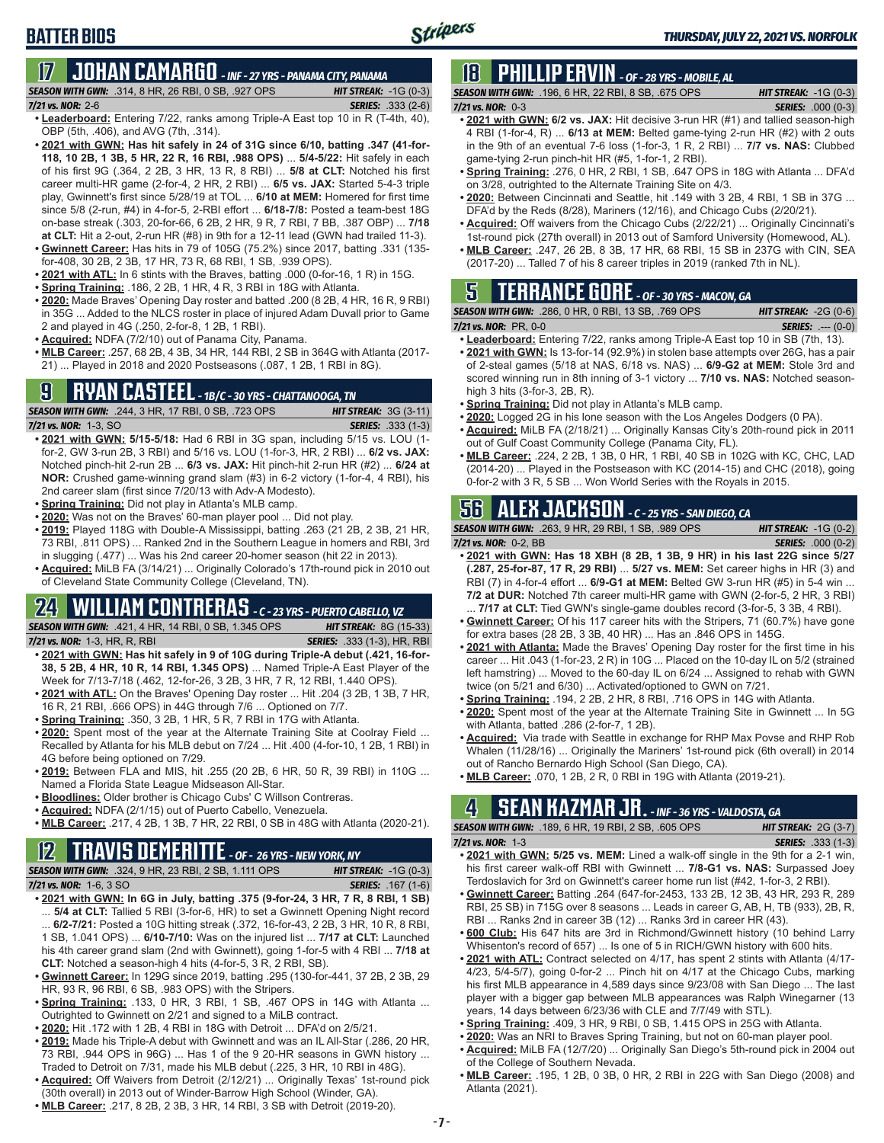### **17 JOHAN CAMARGO** *- INF - 27 YRS - PANAMA CITY, PANAMA SEASON WITH GWN:*.314, 8 HR, 26 RBI, 0 SB, .927 OPS *HIT STREAK:* -1G (0-3)

- *7/21 vs. NOR:* 2-6 *SERIES:* .333 (2-6) **• Leaderboard:** Entering 7/22, ranks among Triple-A East top 10 in R (T-4th, 40),
- OBP (5th, .406), and AVG (7th, .314).
- **• 2021 with GWN: Has hit safely in 24 of 31G since 6/10, batting .347 (41-for-118, 10 2B, 1 3B, 5 HR, 22 R, 16 RBI, .988 OPS)** ... **5/4-5/22:** Hit safely in each of his first 9G (.364, 2 2B, 3 HR, 13 R, 8 RBI) ... **5/8 at CLT:** Notched his first career multi-HR game (2-for-4, 2 HR, 2 RBI) ... **6/5 vs. JAX:** Started 5-4-3 triple play, Gwinnett's first since 5/28/19 at TOL ... **6/10 at MEM:** Homered for first time since 5/8 (2-run, #4) in 4-for-5, 2-RBI effort ... **6/18-7/8:** Posted a team-best 18G on-base streak (.303, 20-for-66, 6 2B, 2 HR, 9 R, 7 RBI, 7 BB, .387 OBP) ... **7/18 at CLT:** Hit a 2-out, 2-run HR (#8) in 9th for a 12-11 lead (GWN had trailed 11-3).
- **• Gwinnett Career:** Has hits in 79 of 105G (75.2%) since 2017, batting .331 (135 for-408, 30 2B, 2 3B, 17 HR, 73 R, 68 RBI, 1 SB, .939 OPS).
- **• 2021 with ATL:** In 6 stints with the Braves, batting .000 (0-for-16, 1 R) in 15G.
- **• Spring Training:** .186, 2 2B, 1 HR, 4 R, 3 RBI in 18G with Atlanta.
- **• 2020:** Made Braves' Opening Day roster and batted .200 (8 2B, 4 HR, 16 R, 9 RBI) in 35G ... Added to the NLCS roster in place of injured Adam Duvall prior to Game 2 and played in 4G (.250, 2-for-8, 1 2B, 1 RBI).
- **• Acquired:** NDFA (7/2/10) out of Panama City, Panama.
- **• MLB Career:** .257, 68 2B, 4 3B, 34 HR, 144 RBI, 2 SB in 364G with Atlanta (2017- 21) ... Played in 2018 and 2020 Postseasons (.087, 1 2B, 1 RBI in 8G).

## **9 RYAN CASTEEL** *- 1B/C - 30 YRS - CHATTANOOGA, TN*

*SEASON WITH GWN:*.244, 3 HR, 17 RBI, 0 SB, .723 OPS *HIT STREAK:* 3G (3-11) *7/21 vs. NOR:*1-3, SO *SERIES:* .333 (1-3)

- **• 2021 with GWN: 5/15-5/18:** Had 6 RBI in 3G span, including 5/15 vs. LOU (1 for-2, GW 3-run 2B, 3 RBI) and 5/16 vs. LOU (1-for-3, HR, 2 RBI) ... **6/2 vs. JAX:** Notched pinch-hit 2-run 2B ... **6/3 vs. JAX:** Hit pinch-hit 2-run HR (#2) ... **6/24 at NOR:** Crushed game-winning grand slam (#3) in 6-2 victory (1-for-4, 4 RBI), his 2nd career slam (first since 7/20/13 with Adv-A Modesto).
- **• Spring Training:** Did not play in Atlanta's MLB camp.
- **• 2020:** Was not on the Braves' 60-man player pool ... Did not play.
- **• 2019:** Played 118G with Double-A Mississippi, batting .263 (21 2B, 2 3B, 21 HR, 73 RBI, .811 OPS) ... Ranked 2nd in the Southern League in homers and RBI, 3rd in slugging (.477) ... Was his 2nd career 20-homer season (hit 22 in 2013).
- **• Acquired:** MiLB FA (3/14/21) ... Originally Colorado's 17th-round pick in 2010 out of Cleveland State Community College (Cleveland, TN).

# **24 WILLIAM CONTRERAS** *- C - 23 YRS - PUERTO CABELLO, VZ*

*SEASON WITH GWN:*.421, 4 HR, 14 RBI, 0 SB, 1.345 OPS *HIT STREAK:* 8G (15-33) *7/21 vs. NOR:* 1-3, HR, R, RBI *SERIES:* .333 (1-3), HR, RBI

- **• 2021 with GWN: Has hit safely in 9 of 10G during Triple-A debut (.421, 16-for-38, 5 2B, 4 HR, 10 R, 14 RBI, 1.345 OPS)** ... Named Triple-A East Player of the Week for 7/13-7/18 (.462, 12-for-26, 3 2B, 3 HR, 7 R, 12 RBI, 1.440 OPS).
- **• 2021 with ATL:** On the Braves' Opening Day roster ... Hit .204 (3 2B, 1 3B, 7 HR, 16 R, 21 RBI, .666 OPS) in 44G through 7/6 ... Optioned on 7/7.
- **• Spring Training:** .350, 3 2B, 1 HR, 5 R, 7 RBI in 17G with Atlanta.
- **• 2020:** Spent most of the year at the Alternate Training Site at Coolray Field ... Recalled by Atlanta for his MLB debut on 7/24 ... Hit .400 (4-for-10, 1 2B, 1 RBI) in 4G before being optioned on 7/29.
- **• 2019:** Between FLA and MIS, hit .255 (20 2B, 6 HR, 50 R, 39 RBI) in 110G ... Named a Florida State League Midseason All-Star.
- **• Bloodlines:** Older brother is Chicago Cubs' C Willson Contreras.
- **• Acquired:** NDFA (2/1/15) out of Puerto Cabello, Venezuela.
- **• MLB Career:** .217, 4 2B, 1 3B, 7 HR, 22 RBI, 0 SB in 48G with Atlanta (2020-21).

## **12 TRAVIS DEMERITTE** *- OF - 26 YRS - NEW YORK, NY*

*SEASON WITH GWN:*.324, 9 HR, 23 RBI, 2 SB, 1.111 OPS *HIT STREAK:* -1G (0-3) *7/21 vs. NOR:*1-6, 3 SO *SERIES:* .167 (1-6)

- **• 2021 with GWN: In 6G in July, batting .375 (9-for-24, 3 HR, 7 R, 8 RBI, 1 SB)** 5/4 at CLT: Tallied 5 RBI (3-for-6, HR) to set a Gwinnett Opening Night record ... **6/2-7/21:** Posted a 10G hitting streak (.372, 16-for-43, 2 2B, 3 HR, 10 R, 8 RBI, 1 SB, 1.041 OPS) ... **6/10-7/10:** Was on the injured list ... **7/17 at CLT:** Launched his 4th career grand slam (2nd with Gwinnett), going 1-for-5 with 4 RBI ... **7/18 at CLT:** Notched a season-high 4 hits (4-for-5, 3 R, 2 RBI, SB).
- **• Gwinnett Career:** In 129G since 2019, batting .295 (130-for-441, 37 2B, 2 3B, 29 HR, 93 R, 96 RBI, 6 SB, .983 OPS) with the Stripers.
- **• Spring Training:** .133, 0 HR, 3 RBI, 1 SB, .467 OPS in 14G with Atlanta ... Outrighted to Gwinnett on 2/21 and signed to a MiLB contract.
- **• 2020:** Hit .172 with 1 2B, 4 RBI in 18G with Detroit ... DFA'd on 2/5/21.
- **• 2019:** Made his Triple-A debut with Gwinnett and was an IL All-Star (.286, 20 HR, 73 RBI, .944 OPS in 96G) ... Has 1 of the 9 20-HR seasons in GWN history ... Traded to Detroit on 7/31, made his MLB debut (.225, 3 HR, 10 RBI in 48G).
- **• Acquired:** Off Waivers from Detroit (2/12/21) ... Originally Texas' 1st-round pick (30th overall) in 2013 out of Winder-Barrow High School (Winder, GA).
- **• MLB Career:** .217, 8 2B, 2 3B, 3 HR, 14 RBI, 3 SB with Detroit (2019-20).

# **18 PHILLIP ERVIN** *- OF - 28 YRS - MOBILE, AL*

*SEASON WITH GWN:*.196, 6 HR, 22 RBI, 8 SB, .675 OPS *HIT STREAK:* -1G (0-3) *7/21 vs. NOR:*0-3 *SERIES:* .000 (0-3)

- **• 2021 with GWN: 6/2 vs. JAX:** Hit decisive 3-run HR (#1) and tallied season-high 4 RBI (1-for-4, R) ... **6/13 at MEM:** Belted game-tying 2-run HR (#2) with 2 outs in the 9th of an eventual 7-6 loss (1-for-3, 1 R, 2 RBI) ... **7/7 vs. NAS:** Clubbed game-tying 2-run pinch-hit HR (#5, 1-for-1, 2 RBI).
- **• Spring Training:** .276, 0 HR, 2 RBI, 1 SB, .647 OPS in 18G with Atlanta ... DFA'd on 3/28, outrighted to the Alternate Training Site on 4/3.
- **• 2020:** Between Cincinnati and Seattle, hit .149 with 3 2B, 4 RBI, 1 SB in 37G ... DFA'd by the Reds (8/28), Mariners (12/16), and Chicago Cubs (2/20/21).
- **• Acquired:** Off waivers from the Chicago Cubs (2/22/21) ... Originally Cincinnati's 1st-round pick (27th overall) in 2013 out of Samford University (Homewood, AL).
- **• MLB Career:** .247, 26 2B, 8 3B, 17 HR, 68 RBI, 15 SB in 237G with CIN, SEA (2017-20) ... Talled 7 of his 8 career triples in 2019 (ranked 7th in NL).

# **5 TERRANCE GORE** *- OF - 30 YRS - MACON, GA*

| <b>SEASON WITH GWN: .286, 0 HR, 0 RBI, 13 SB, .769 OPS</b> | <b>HIT STREAK: <math>-2G(0-6)</math></b> |
|------------------------------------------------------------|------------------------------------------|
| 7/21 vs. NOR: $PR, 0-0$                                    | <b>SERIES:</b> $--- (0-0)$               |

- **• Leaderboard:** Entering 7/22, ranks among Triple-A East top 10 in SB (7th, 13). **• 2021 with GWN:** Is 13-for-14 (92.9%) in stolen base attempts over 26G, has a pair of 2-steal games (5/18 at NAS, 6/18 vs. NAS) ... **6/9-G2 at MEM:** Stole 3rd and
- scored winning run in 8th inning of 3-1 victory ... **7/10 vs. NAS:** Notched seasonhigh 3 hits (3-for-3, 2B, R).
- **• Spring Training:** Did not play in Atlanta's MLB camp.
- **• 2020:** Logged 2G in his lone season with the Los Angeles Dodgers (0 PA). **• Acquired:** MiLB FA (2/18/21) ... Originally Kansas City's 20th-round pick in 2011
- out of Gulf Coast Community College (Panama City, FL). **• MLB Career:** .224, 2 2B, 1 3B, 0 HR, 1 RBI, 40 SB in 102G with KC, CHC, LAD (2014-20) ... Played in the Postseason with KC (2014-15) and CHC (2018), going
- 0-for-2 with 3 R, 5 SB ... Won World Series with the Royals in 2015.

# **56 ALEX JACKSON** *- C - 25 YRS - SAN DIEGO, CA*

*SEASON WITH GWN:*.263, 9 HR, 29 RBI, 1 SB, .989 OPS *HIT STREAK:* -1G (0-2) *7/21 vs. NOR:*0-2, BB *SERIES:* .000 (0-2)

- **• 2021 with GWN: Has 18 XBH (8 2B, 1 3B, 9 HR) in his last 22G since 5/27 (.287, 25-for-87, 17 R, 29 RBI)** ... **5/27 vs. MEM:** Set career highs in HR (3) and RBI (7) in 4-for-4 effort ... **6/9-G1 at MEM:** Belted GW 3-run HR (#5) in 5-4 win ... **7/2 at DUR:** Notched 7th career multi-HR game with GWN (2-for-5, 2 HR, 3 RBI) . **7/17 at CLT:** Tied GWN's single-game doubles record (3-for-5, 3 3B, 4 RBI).
- **• Gwinnett Career:** Of his 117 career hits with the Stripers, 71 (60.7%) have gone for extra bases (28 2B, 3 3B, 40 HR) ... Has an .846 OPS in 145G.
- **• 2021 with Atlanta:** Made the Braves' Opening Day roster for the first time in his career ... Hit .043 (1-for-23, 2 R) in 10G ... Placed on the 10-day IL on 5/2 (strained left hamstring) ... Moved to the 60-day IL on 6/24 ... Assigned to rehab with GWN twice (on 5/21 and 6/30) ... Activated/optioned to GWN on 7/21.
- **• Spring Training:** .194, 2 2B, 2 HR, 8 RBI, .716 OPS in 14G with Atlanta.
- **• 2020:** Spent most of the year at the Alternate Training Site in Gwinnett ... In 5G with Atlanta, batted .286 (2-for-7, 1 2B).
- **• Acquired:** Via trade with Seattle in exchange for RHP Max Povse and RHP Rob Whalen (11/28/16) ... Originally the Mariners' 1st-round pick (6th overall) in 2014 out of Rancho Bernardo High School (San Diego, CA).
- **• MLB Career:** .070, 1 2B, 2 R, 0 RBI in 19G with Atlanta (2019-21).

# **4 SEAN KAZMAR JR.** *- INF - 36 YRS - VALDOSTA, GA*

*SEASON WITH GWN:*.189, 6 HR, 19 RBI, 2 SB, .605 OPS *HIT STREAK:* 2G (3-7)

- *7/21 vs. NOR:*1-3 *SERIES:* .333 (1-3) **• 2021 with GWN: 5/25 vs. MEM:** Lined a walk-off single in the 9th for a 2-1 win, his first career walk-off RBI with Gwinnett ... **7/8-G1 vs. NAS:** Surpassed Joey Terdoslavich for 3rd on Gwinnett's career home run list (#42, 1-for-3, 2 RBI).
- **• Gwinnett Career:** Batting .264 (647-for-2453, 133 2B, 12 3B, 43 HR, 293 R, 289 RBI, 25 SB) in 715G over 8 seasons ... Leads in career G, AB, H, TB (933), 2B, R, RBI ... Ranks 2nd in career 3B (12) ... Ranks 3rd in career HR (43).
- **• 600 Club:** His 647 hits are 3rd in Richmond/Gwinnett history (10 behind Larry Whisenton's record of 657) ... Is one of 5 in RICH/GWN history with 600 hits.
- **• 2021 with ATL:** Contract selected on 4/17, has spent 2 stints with Atlanta (4/17- 4/23, 5/4-5/7), going 0-for-2 ... Pinch hit on 4/17 at the Chicago Cubs, marking his first MLB appearance in 4,589 days since 9/23/08 with San Diego ... The last player with a bigger gap between MLB appearances was Ralph Winegarner (13 years, 14 days between 6/23/36 with CLE and 7/7/49 with STL).
- **• Spring Training:** .409, 3 HR, 9 RBI, 0 SB, 1.415 OPS in 25G with Atlanta.
- **• 2020:** Was an NRI to Braves Spring Training, but not on 60-man player pool.
- **• Acquired:** MiLB FA (12/7/20) ... Originally San Diego's 5th-round pick in 2004 out of the College of Southern Nevada.
- **• MLB Career:** .195, 1 2B, 0 3B, 0 HR, 2 RBI in 22G with San Diego (2008) and Atlanta (2021).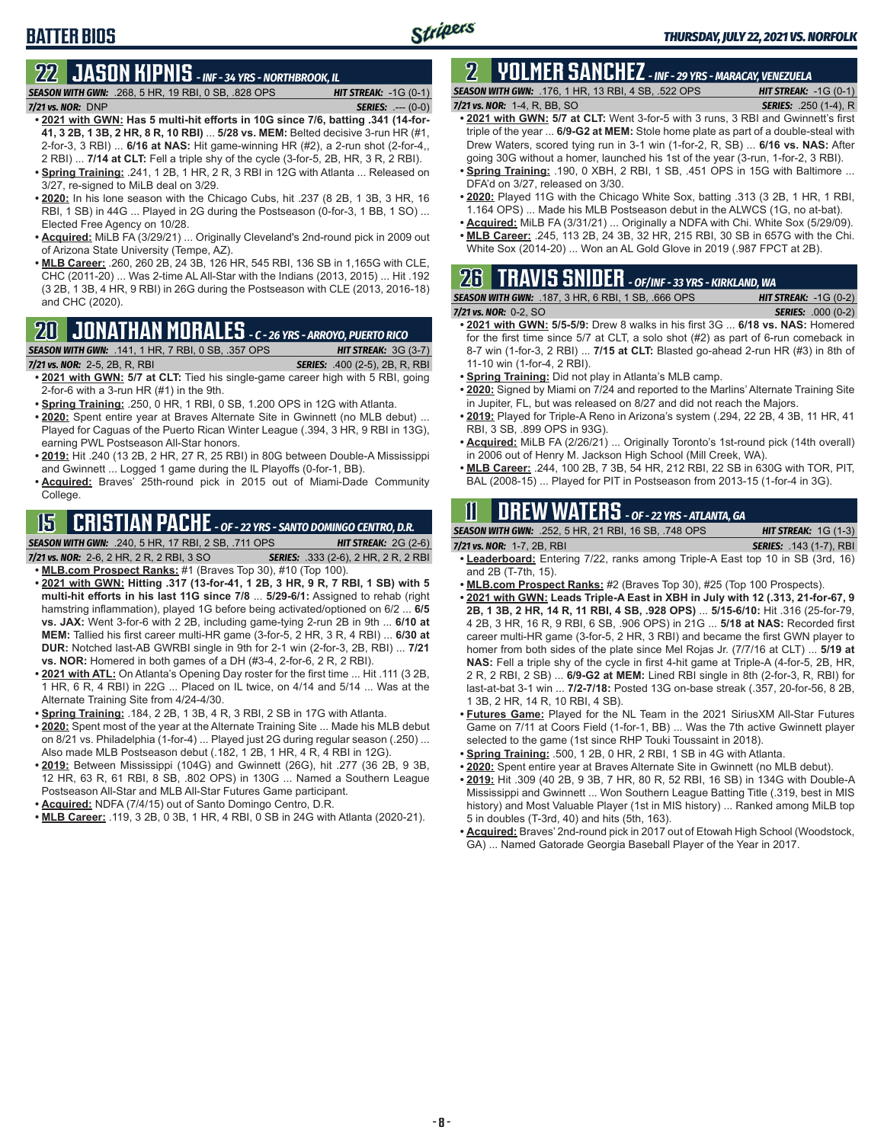# **BATTER BIOS**

# **22 JASON KIPNIS** *- INF - 34 YRS - NORTHBROOK, IL*

*SEASON WITH GWN:*.268, 5 HR, 19 RBI, 0 SB, .828 OPS *HIT STREAK:* -1G (0-1) *7/21 vs. NOR:*DNP *SERIES:* .--- (0-0)

- **• 2021 with GWN: Has 5 multi-hit efforts in 10G since 7/6, batting .341 (14-for-41, 3 2B, 1 3B, 2 HR, 8 R, 10 RBI)** ... **5/28 vs. MEM:** Belted decisive 3-run HR (#1, 2-for-3, 3 RBI) ... **6/16 at NAS:** Hit game-winning HR (#2), a 2-run shot (2-for-4,, 2 RBI) ... **7/14 at CLT:** Fell a triple shy of the cycle (3-for-5, 2B, HR, 3 R, 2 RBI).
- **• Spring Training:** .241, 1 2B, 1 HR, 2 R, 3 RBI in 12G with Atlanta ... Released on 3/27, re-signed to MiLB deal on 3/29.
- **• 2020:** In his lone season with the Chicago Cubs, hit .237 (8 2B, 1 3B, 3 HR, 16 RBI, 1 SB) in 44G ... Played in 2G during the Postseason (0-for-3, 1 BB, 1 SO) ... Elected Free Agency on 10/28.
- **• Acquired:** MiLB FA (3/29/21) ... Originally Cleveland's 2nd-round pick in 2009 out of Arizona State University (Tempe, AZ).
- **• MLB Career:** .260, 260 2B, 24 3B, 126 HR, 545 RBI, 136 SB in 1,165G with CLE, CHC (2011-20) ... Was 2-time AL All-Star with the Indians (2013, 2015) ... Hit .192 (3 2B, 1 3B, 4 HR, 9 RBI) in 26G during the Postseason with CLE (2013, 2016-18) and CHC (2020).

## **20 JONATHAN MORALES** *- C - 26 YRS - ARROYO, PUERTO RICO*

*SEASON WITH GWN:*.141, 1 HR, 7 RBI, 0 SB, .357 OPS *HIT STREAK:* 3G (3-7)

*7/21 vs. NOR:*2-5, 2B, R, RBI *SERIES:* .400 (2-5), 2B, R, RBI

- **• 2021 with GWN: 5/7 at CLT:** Tied his single-game career high with 5 RBI, going 2-for-6 with a 3-run HR (#1) in the 9th.
- **• Spring Training:** .250, 0 HR, 1 RBI, 0 SB, 1.200 OPS in 12G with Atlanta.
- **• 2020:** Spent entire year at Braves Alternate Site in Gwinnett (no MLB debut) ... Played for Caguas of the Puerto Rican Winter League (.394, 3 HR, 9 RBI in 13G), earning PWL Postseason All-Star honors.
- **• 2019:** Hit .240 (13 2B, 2 HR, 27 R, 25 RBI) in 80G between Double-A Mississippi and Gwinnett ... Logged 1 game during the IL Playoffs (0-for-1, BB).
- **• Acquired:** Braves' 25th-round pick in 2015 out of Miami-Dade Community College.

# **15 CRISTIAN PACHE** *- OF - 22 YRS - SANTO DOMINGO CENTRO, D.R.*

*SEASON WITH GWN:*.240, 5 HR, 17 RBI, 2 SB, .711 OPS *HIT STREAK:* 2G (2-6)

- *7/21 vs. NOR:* 2-6, 2 HR, 2 R, 2 RBI, 3 SO *SERIES:* .333 (2-6), 2 HR, 2 R, 2 RBI **• MLB.com Prospect Ranks:** #1 (Braves Top 30), #10 (Top 100).
- **• 2021 with GWN: Hitting .317 (13-for-41, 1 2B, 3 HR, 9 R, 7 RBI, 1 SB) with 5 multi-hit efforts in his last 11G since 7/8** ... **5/29-6/1:** Assigned to rehab (right hamstring inflammation), played 1G before being activated/optioned on 6/2 ... **6/5 vs. JAX:** Went 3-for-6 with 2 2B, including game-tying 2-run 2B in 9th ... **6/10 at MEM:** Tallied his first career multi-HR game (3-for-5, 2 HR, 3 R, 4 RBI) ... **6/30 at DUR:** Notched last-AB GWRBI single in 9th for 2-1 win (2-for-3, 2B, RBI) ... **7/21 vs. NOR:** Homered in both games of a DH (#3-4, 2-for-6, 2 R, 2 RBI).
- **• 2021 with ATL:** On Atlanta's Opening Day roster for the first time ... Hit .111 (3 2B, 1 HR, 6 R, 4 RBI) in 22G ... Placed on IL twice, on 4/14 and 5/14 ... Was at the Alternate Training Site from 4/24-4/30.
- **• Spring Training:** .184, 2 2B, 1 3B, 4 R, 3 RBI, 2 SB in 17G with Atlanta.
- **• 2020:** Spent most of the year at the Alternate Training Site ... Made his MLB debut on 8/21 vs. Philadelphia (1-for-4) ... Played just 2G during regular season (.250) ... Also made MLB Postseason debut (.182, 1 2B, 1 HR, 4 R, 4 RBI in 12G).
- **• 2019:** Between Mississippi (104G) and Gwinnett (26G), hit .277 (36 2B, 9 3B, 12 HR, 63 R, 61 RBI, 8 SB, .802 OPS) in 130G ... Named a Southern League Postseason All-Star and MLB All-Star Futures Game participant.
- **• Acquired:** NDFA (7/4/15) out of Santo Domingo Centro, D.R.
- **• MLB Career:** .119, 3 2B, 0 3B, 1 HR, 4 RBI, 0 SB in 24G with Atlanta (2020-21).

# **2 YOLMER SANCHEZ** *- INF - 29 YRS - MARACAY, VENEZUELA*

*SEASON WITH GWN:*.176, 1 HR, 13 RBI, 4 SB, .522 OPS *HIT STREAK:* -1G (0-1)

#### *7/21 vs. NOR:*1-4, R, BB, SO *SERIES:* .250 (1-4), R

- **• 2021 with GWN: 5/7 at CLT:** Went 3-for-5 with 3 runs, 3 RBI and Gwinnett's first triple of the year ... **6/9-G2 at MEM:** Stole home plate as part of a double-steal with Drew Waters, scored tying run in 3-1 win (1-for-2, R, SB) ... **6/16 vs. NAS:** After going 30G without a homer, launched his 1st of the year (3-run, 1-for-2, 3 RBI).
- **• Spring Training:** .190, 0 XBH, 2 RBI, 1 SB, .451 OPS in 15G with Baltimore ... DFA'd on 3/27, released on 3/30.
- **• 2020:** Played 11G with the Chicago White Sox, batting .313 (3 2B, 1 HR, 1 RBI, 1.164 OPS) ... Made his MLB Postseason debut in the ALWCS (1G, no at-bat).
- **• Acquired:** MiLB FA (3/31/21) ... Originally a NDFA with Chi. White Sox (5/29/09).
- **• MLB Career:** .245, 113 2B, 24 3B, 32 HR, 215 RBI, 30 SB in 657G with the Chi. White Sox (2014-20) ... Won an AL Gold Glove in 2019 (.987 FPCT at 2B).

### **26 TRAVIS SNIDER** *- OF/INF - 33 YRS - KIRKLAND, WA SEASON WITH GWN:*.187, 3 HR, 6 RBI, 1 SB, .666 OPS *HIT STREAK:* -1G (0-2)

*7/21 vs. NOR:* 0-2, SO *SERIES:* .000 (0-2)

- **• 2021 with GWN: 5/5-5/9:** Drew 8 walks in his first 3G ... **6/18 vs. NAS:** Homered for the first time since 5/7 at CLT, a solo shot (#2) as part of 6-run comeback in 8-7 win (1-for-3, 2 RBI) ... **7/15 at CLT:** Blasted go-ahead 2-run HR (#3) in 8th of 11-10 win (1-for-4, 2 RBI).
- **• Spring Training:** Did not play in Atlanta's MLB camp.
- **• 2020:** Signed by Miami on 7/24 and reported to the Marlins' Alternate Training Site in Jupiter, FL, but was released on 8/27 and did not reach the Majors.
- **• 2019:** Played for Triple-A Reno in Arizona's system (.294, 22 2B, 4 3B, 11 HR, 41 RBI, 3 SB, .899 OPS in 93G).
- **• Acquired:** MiLB FA (2/26/21) ... Originally Toronto's 1st-round pick (14th overall) in 2006 out of Henry M. Jackson High School (Mill Creek, WA).
- **• MLB Career:** .244, 100 2B, 7 3B, 54 HR, 212 RBI, 22 SB in 630G with TOR, PIT, BAL (2008-15) ... Played for PIT in Postseason from 2013-15 (1-for-4 in 3G).

# **11 Drew WATERS** *- OF - 22 YRS - ATLANTA, GA*

| <b>SEASON WITH GWN:</b> .252, 5 HR, 21 RBI, 16 SB, .748 OPS | <b>HIT STREAK:</b> $1G(1-3)$   |
|-------------------------------------------------------------|--------------------------------|
| 7/21 vs. NOR: 1-7, 2B, RBI                                  | <b>SERIES:</b> .143 (1-7), RBI |

- **• Leaderboard:** Entering 7/22, ranks among Triple-A East top 10 in SB (3rd, 16) and 2B (T-7th, 15).
- **• MLB.com Prospect Ranks:** #2 (Braves Top 30), #25 (Top 100 Prospects).
- **• 2021 with GWN: Leads Triple-A East in XBH in July with 12 (.313, 21-for-67, 9 2B, 1 3B, 2 HR, 14 R, 11 RBI, 4 SB, .928 OPS)** ... **5/15-6/10:** Hit .316 (25-for-79, 4 2B, 3 HR, 16 R, 9 RBI, 6 SB, .906 OPS) in 21G ... **5/18 at NAS:** Recorded first career multi-HR game (3-for-5, 2 HR, 3 RBI) and became the first GWN player to homer from both sides of the plate since Mel Rojas Jr. (7/7/16 at CLT) ... **5/19 at NAS:** Fell a triple shy of the cycle in first 4-hit game at Triple-A (4-for-5, 2B, HR, 2 R, 2 RBI, 2 SB) ... **6/9-G2 at MEM:** Lined RBI single in 8th (2-for-3, R, RBI) for last-at-bat 3-1 win ... **7/2-7/18:** Posted 13G on-base streak (.357, 20-for-56, 8 2B, 1 3B, 2 HR, 14 R, 10 RBI, 4 SB).
- **• Futures Game:** Played for the NL Team in the 2021 SiriusXM All-Star Futures Game on 7/11 at Coors Field (1-for-1, BB) ... Was the 7th active Gwinnett player selected to the game (1st since RHP Touki Toussaint in 2018).
- **• Spring Training:** .500, 1 2B, 0 HR, 2 RBI, 1 SB in 4G with Atlanta.
- **• 2020:** Spent entire year at Braves Alternate Site in Gwinnett (no MLB debut).
- **• 2019:** Hit .309 (40 2B, 9 3B, 7 HR, 80 R, 52 RBI, 16 SB) in 134G with Double-A Mississippi and Gwinnett ... Won Southern League Batting Title (.319, best in MIS history) and Most Valuable Player (1st in MIS history) ... Ranked among MiLB top 5 in doubles (T-3rd, 40) and hits (5th, 163).
- **• Acquired:** Braves' 2nd-round pick in 2017 out of Etowah High School (Woodstock, GA) ... Named Gatorade Georgia Baseball Player of the Year in 2017.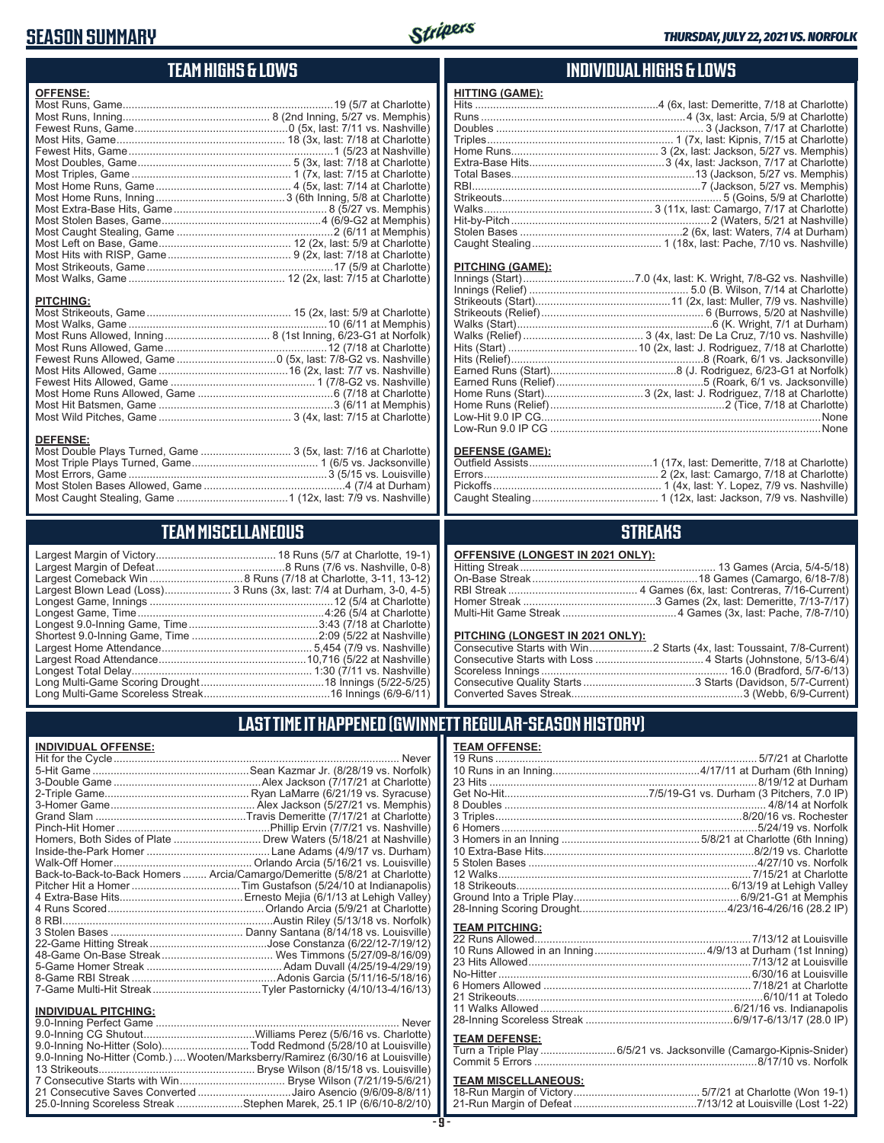## **SEASON SUMMARY**



# **TEAM HIGHS & LOWS**

| <b>OFFENSE:</b>  |  |
|------------------|--|
|                  |  |
|                  |  |
|                  |  |
|                  |  |
|                  |  |
|                  |  |
|                  |  |
|                  |  |
|                  |  |
|                  |  |
|                  |  |
|                  |  |
|                  |  |
|                  |  |
|                  |  |
|                  |  |
|                  |  |
| <b>PITCHING:</b> |  |
|                  |  |
|                  |  |
|                  |  |
|                  |  |
|                  |  |
|                  |  |
|                  |  |
|                  |  |
|                  |  |
|                  |  |
|                  |  |
| <b>DEEEMSE.</b>  |  |

### **DEFENSE:**

| --------                                                        |  |
|-----------------------------------------------------------------|--|
| Most Double Plays Turned, Game  3 (5x, last: 7/16 at Charlotte) |  |
|                                                                 |  |
|                                                                 |  |
|                                                                 |  |
|                                                                 |  |
|                                                                 |  |

## **TEAM MISCELLANEOUS**

| Largest Blown Lead (Loss) 3 Runs (3x, last: 7/4 at Durham, 3-0, 4-5) |
|----------------------------------------------------------------------|
|                                                                      |
|                                                                      |
|                                                                      |
|                                                                      |
|                                                                      |
|                                                                      |
|                                                                      |
|                                                                      |
|                                                                      |

### **INDIVIDUAL HIGHS & LOWS**

| <b>HITTING (GAME):</b> |  |
|------------------------|--|
|                        |  |
|                        |  |
|                        |  |
|                        |  |
|                        |  |
|                        |  |
|                        |  |
|                        |  |
|                        |  |
|                        |  |
|                        |  |
|                        |  |
|                        |  |
|                        |  |

#### **PITCHING (GAME):**

### **DEFENSE (GAME):**

### **STREAKS**

#### **OFFENSIVE (LONGEST IN 2021 ONLY):**

#### **PITCHING (LONGEST IN 2021 ONLY):**

### **LAST TIME IT HAPPENED (GWINNETT REGULAR-SEASON HISTORY)**

### **INDIVIDUAL OFFENSE:**

|                                                        | Homers, Both Sides of Plate  Drew Waters (5/18/21 at Nashville)            |
|--------------------------------------------------------|----------------------------------------------------------------------------|
|                                                        |                                                                            |
|                                                        |                                                                            |
|                                                        | Back-to-Back-to-Back Homers  Arcia/Camargo/Demeritte (5/8/21 at Charlotte) |
|                                                        |                                                                            |
|                                                        |                                                                            |
|                                                        |                                                                            |
|                                                        |                                                                            |
|                                                        |                                                                            |
|                                                        |                                                                            |
|                                                        |                                                                            |
|                                                        |                                                                            |
|                                                        |                                                                            |
|                                                        |                                                                            |
|                                                        |                                                                            |
| <b>INDIVIDUAL PITCHING:</b><br>0.0 Inning Porfoot Camo | Novor                                                                      |
|                                                        |                                                                            |

| 9.0-Inning No-Hitter (Solo)Todd Redmond (5/28/10 at Louisville)                 |  |
|---------------------------------------------------------------------------------|--|
| 9.0-Inning No-Hitter (Comb.)  Wooten/Marksberry/Ramirez (6/30/16 at Louisville) |  |
|                                                                                 |  |
|                                                                                 |  |
| 21 Consecutive Saves Converted Jairo Asencio (9/6/09-8/8/11)                    |  |
| 25.0-Inning Scoreless Streak Stephen Marek, 25.1 IP (6/6/10-8/2/10)             |  |
|                                                                                 |  |

### **TEAM OFFENSE:**

| <b>TEAM PITCHING:</b><br><b>TEAM DEFENSE:</b> |  |
|-----------------------------------------------|--|

### **TEAM DEFENSE:** Turn a Triple Play .........................6/5/21 vs. Jacksonville (Camargo-Kipnis-Snider) Commit 5 Errors ..........................................................................8/17/10 vs. Norfolk

# **TEAM MISCELLANEOUS:**<br>18-Run Margin of Victory....

| 21-Run Margin of Defeat…………………………………7/13/12 at Louisville (Lost 1-22) |
|-----------------------------------------------------------------------|